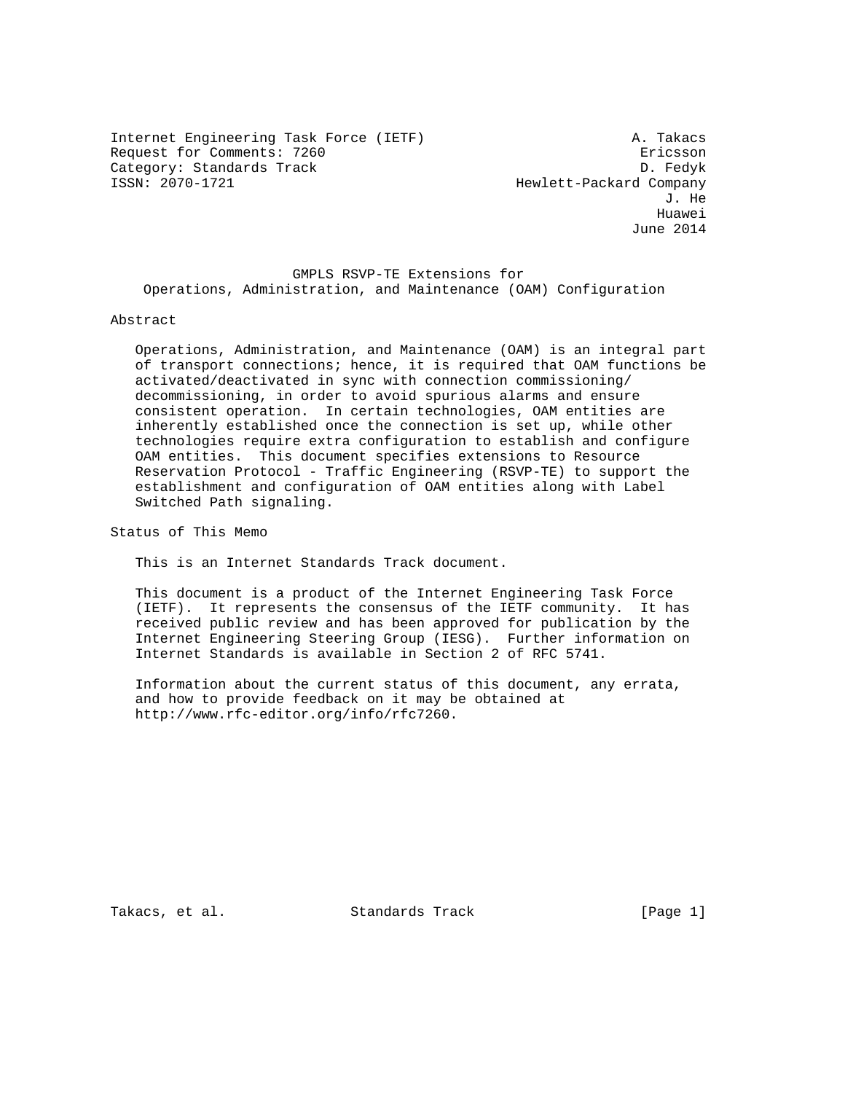Internet Engineering Task Force (IETF) A. Takacs Request for Comments: 7260 erastic state of the Ericsson Category: Standards Track D. Fedyk<br>ISSN: 2070-1721 D. Fedyk

Hewlett-Packard Company J. He he distributed by the control of the control of the control of the control of the control of the control of the control of the control of the control of the control of the control of the control of the control of the contr June 2014

 GMPLS RSVP-TE Extensions for Operations, Administration, and Maintenance (OAM) Configuration

### Abstract

 Operations, Administration, and Maintenance (OAM) is an integral part of transport connections; hence, it is required that OAM functions be activated/deactivated in sync with connection commissioning/ decommissioning, in order to avoid spurious alarms and ensure consistent operation. In certain technologies, OAM entities are inherently established once the connection is set up, while other technologies require extra configuration to establish and configure OAM entities. This document specifies extensions to Resource Reservation Protocol - Traffic Engineering (RSVP-TE) to support the establishment and configuration of OAM entities along with Label Switched Path signaling.

Status of This Memo

This is an Internet Standards Track document.

 This document is a product of the Internet Engineering Task Force (IETF). It represents the consensus of the IETF community. It has received public review and has been approved for publication by the Internet Engineering Steering Group (IESG). Further information on Internet Standards is available in Section 2 of RFC 5741.

 Information about the current status of this document, any errata, and how to provide feedback on it may be obtained at http://www.rfc-editor.org/info/rfc7260.

Takacs, et al. Standards Track [Page 1]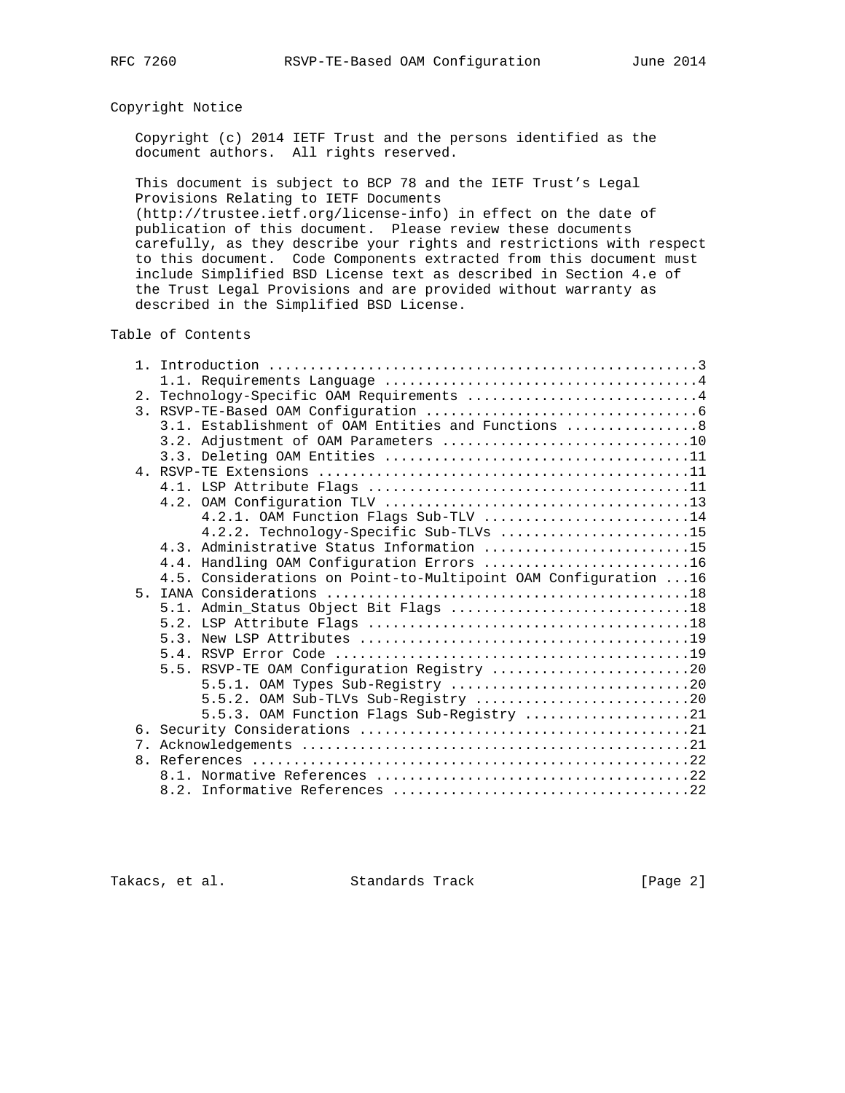## Copyright Notice

 Copyright (c) 2014 IETF Trust and the persons identified as the document authors. All rights reserved.

 This document is subject to BCP 78 and the IETF Trust's Legal Provisions Relating to IETF Documents

 (http://trustee.ietf.org/license-info) in effect on the date of publication of this document. Please review these documents carefully, as they describe your rights and restrictions with respect to this document. Code Components extracted from this document must include Simplified BSD License text as described in Section 4.e of the Trust Legal Provisions and are provided without warranty as described in the Simplified BSD License.

Table of Contents

|                | 2. Technology-Specific OAM Requirements 4                        |  |
|----------------|------------------------------------------------------------------|--|
|                |                                                                  |  |
|                | 3.1. Establishment of OAM Entities and Functions  8              |  |
|                | 3.2. Adjustment of OAM Parameters 10                             |  |
|                |                                                                  |  |
|                |                                                                  |  |
|                |                                                                  |  |
|                |                                                                  |  |
|                | 4.2.1. OAM Function Flags Sub-TLV 14                             |  |
|                | 4.2.2. Technology-Specific Sub-TLVs 15                           |  |
|                | 4.3. Administrative Status Information 15                        |  |
|                | 4.4. Handling OAM Configuration Errors 16                        |  |
|                | 4.5. Considerations on Point-to-Multipoint OAM Configuration  16 |  |
| 5 <sub>1</sub> |                                                                  |  |
|                | 5.1. Admin_Status Object Bit Flags 18                            |  |
|                |                                                                  |  |
|                |                                                                  |  |
|                |                                                                  |  |
|                | 5.5. RSVP-TE OAM Configuration Registry 20                       |  |
|                | 5.5.1. OAM Types Sub-Registry 20                                 |  |
|                | 5.5.2. OAM Sub-TLVs Sub-Registry 20                              |  |
|                | 5.5.3. OAM Function Flags Sub-Registry 21                        |  |
|                |                                                                  |  |
|                |                                                                  |  |
|                |                                                                  |  |
|                |                                                                  |  |
|                |                                                                  |  |

Takacs, et al. Standards Track [Page 2]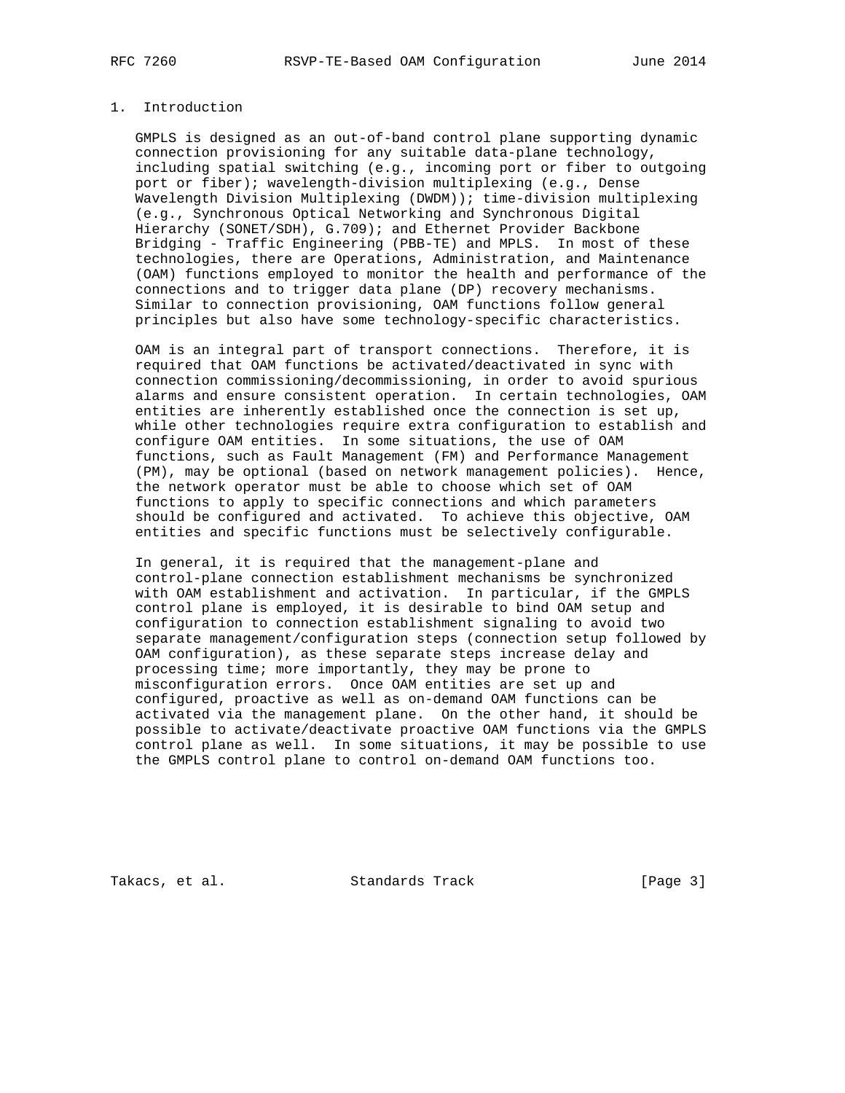## 1. Introduction

 GMPLS is designed as an out-of-band control plane supporting dynamic connection provisioning for any suitable data-plane technology, including spatial switching (e.g., incoming port or fiber to outgoing port or fiber); wavelength-division multiplexing (e.g., Dense Wavelength Division Multiplexing (DWDM)); time-division multiplexing (e.g., Synchronous Optical Networking and Synchronous Digital Hierarchy (SONET/SDH), G.709); and Ethernet Provider Backbone Bridging - Traffic Engineering (PBB-TE) and MPLS. In most of these technologies, there are Operations, Administration, and Maintenance (OAM) functions employed to monitor the health and performance of the connections and to trigger data plane (DP) recovery mechanisms. Similar to connection provisioning, OAM functions follow general principles but also have some technology-specific characteristics.

 OAM is an integral part of transport connections. Therefore, it is required that OAM functions be activated/deactivated in sync with connection commissioning/decommissioning, in order to avoid spurious alarms and ensure consistent operation. In certain technologies, OAM entities are inherently established once the connection is set up, while other technologies require extra configuration to establish and configure OAM entities. In some situations, the use of OAM functions, such as Fault Management (FM) and Performance Management (PM), may be optional (based on network management policies). Hence, the network operator must be able to choose which set of OAM functions to apply to specific connections and which parameters should be configured and activated. To achieve this objective, OAM entities and specific functions must be selectively configurable.

 In general, it is required that the management-plane and control-plane connection establishment mechanisms be synchronized with OAM establishment and activation. In particular, if the GMPLS control plane is employed, it is desirable to bind OAM setup and configuration to connection establishment signaling to avoid two separate management/configuration steps (connection setup followed by OAM configuration), as these separate steps increase delay and processing time; more importantly, they may be prone to misconfiguration errors. Once OAM entities are set up and configured, proactive as well as on-demand OAM functions can be activated via the management plane. On the other hand, it should be possible to activate/deactivate proactive OAM functions via the GMPLS control plane as well. In some situations, it may be possible to use the GMPLS control plane to control on-demand OAM functions too.

Takacs, et al. Standards Track [Page 3]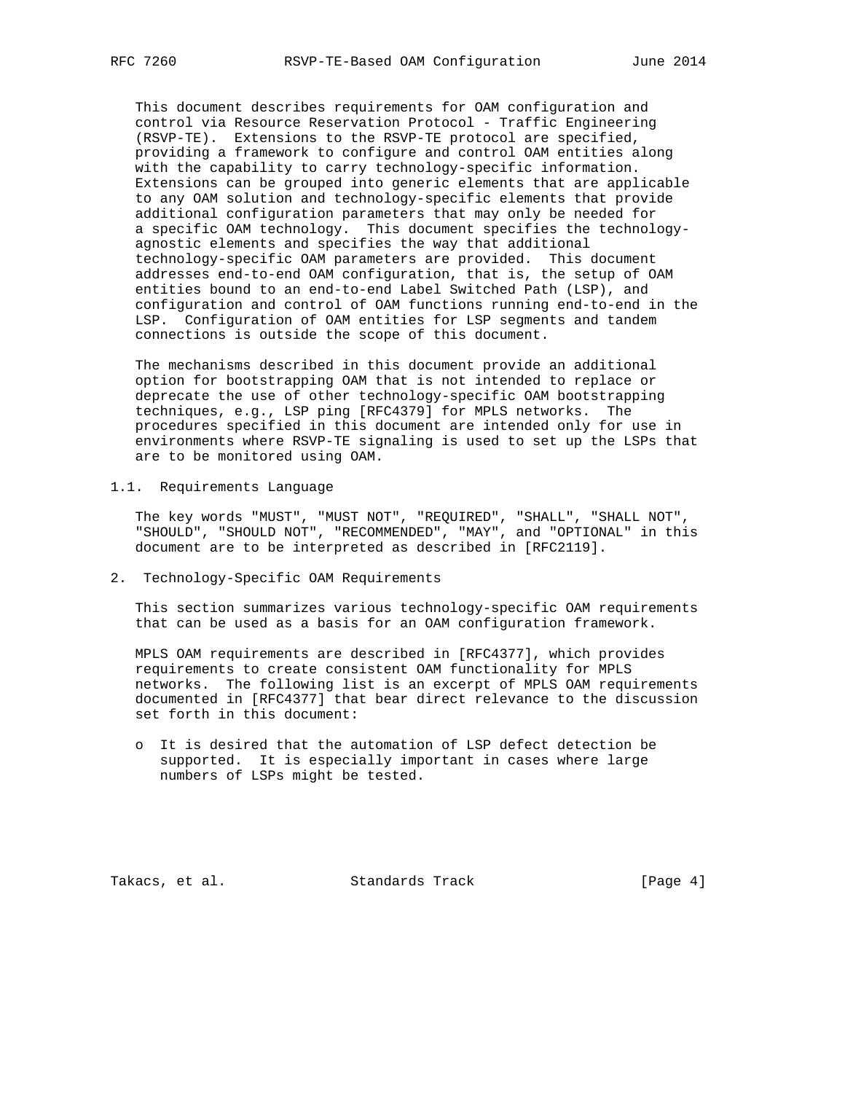This document describes requirements for OAM configuration and control via Resource Reservation Protocol - Traffic Engineering (RSVP-TE). Extensions to the RSVP-TE protocol are specified, providing a framework to configure and control OAM entities along with the capability to carry technology-specific information. Extensions can be grouped into generic elements that are applicable to any OAM solution and technology-specific elements that provide additional configuration parameters that may only be needed for a specific OAM technology. This document specifies the technology agnostic elements and specifies the way that additional technology-specific OAM parameters are provided. This document addresses end-to-end OAM configuration, that is, the setup of OAM entities bound to an end-to-end Label Switched Path (LSP), and configuration and control of OAM functions running end-to-end in the LSP. Configuration of OAM entities for LSP segments and tandem connections is outside the scope of this document.

 The mechanisms described in this document provide an additional option for bootstrapping OAM that is not intended to replace or deprecate the use of other technology-specific OAM bootstrapping techniques, e.g., LSP ping [RFC4379] for MPLS networks. The procedures specified in this document are intended only for use in environments where RSVP-TE signaling is used to set up the LSPs that are to be monitored using OAM.

1.1. Requirements Language

 The key words "MUST", "MUST NOT", "REQUIRED", "SHALL", "SHALL NOT", "SHOULD", "SHOULD NOT", "RECOMMENDED", "MAY", and "OPTIONAL" in this document are to be interpreted as described in [RFC2119].

2. Technology-Specific OAM Requirements

 This section summarizes various technology-specific OAM requirements that can be used as a basis for an OAM configuration framework.

 MPLS OAM requirements are described in [RFC4377], which provides requirements to create consistent OAM functionality for MPLS networks. The following list is an excerpt of MPLS OAM requirements documented in [RFC4377] that bear direct relevance to the discussion set forth in this document:

 o It is desired that the automation of LSP defect detection be supported. It is especially important in cases where large numbers of LSPs might be tested.

Takacs, et al. Standards Track [Page 4]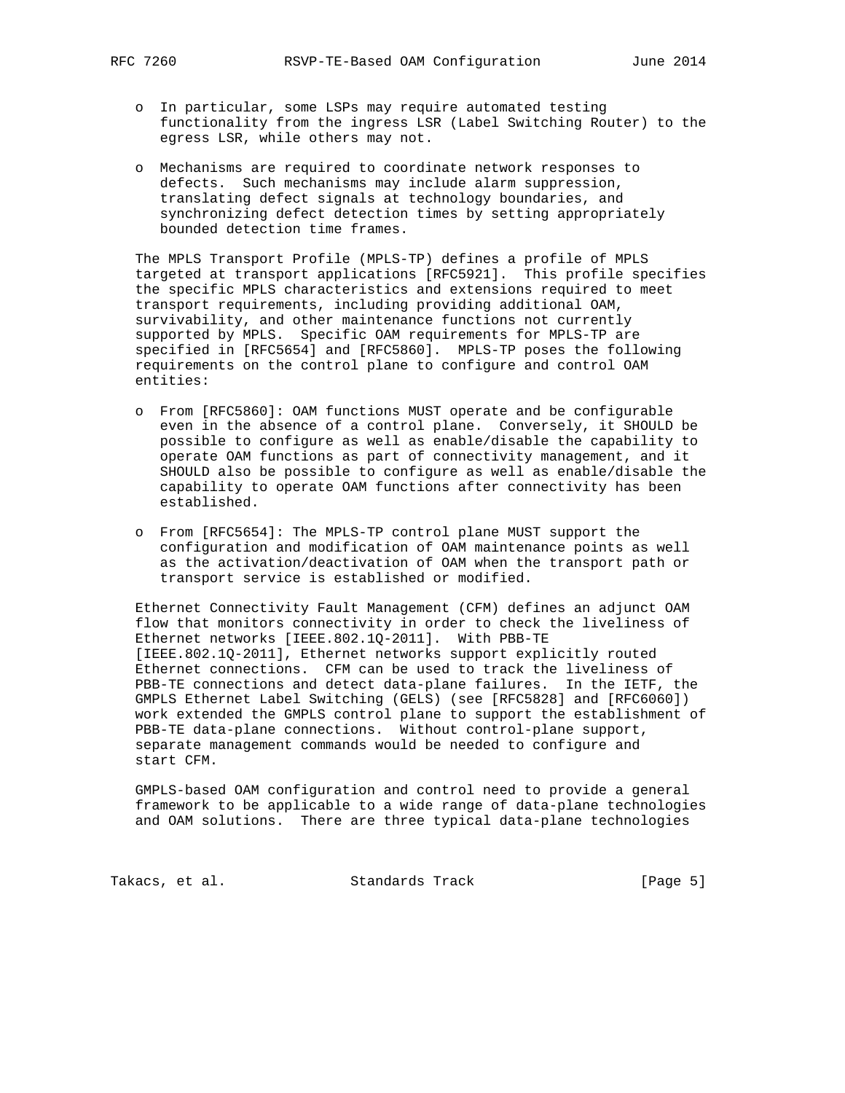- o In particular, some LSPs may require automated testing functionality from the ingress LSR (Label Switching Router) to the egress LSR, while others may not.
- o Mechanisms are required to coordinate network responses to defects. Such mechanisms may include alarm suppression, translating defect signals at technology boundaries, and synchronizing defect detection times by setting appropriately bounded detection time frames.

 The MPLS Transport Profile (MPLS-TP) defines a profile of MPLS targeted at transport applications [RFC5921]. This profile specifies the specific MPLS characteristics and extensions required to meet transport requirements, including providing additional OAM, survivability, and other maintenance functions not currently supported by MPLS. Specific OAM requirements for MPLS-TP are specified in [RFC5654] and [RFC5860]. MPLS-TP poses the following requirements on the control plane to configure and control OAM entities:

- o From [RFC5860]: OAM functions MUST operate and be configurable even in the absence of a control plane. Conversely, it SHOULD be possible to configure as well as enable/disable the capability to operate OAM functions as part of connectivity management, and it SHOULD also be possible to configure as well as enable/disable the capability to operate OAM functions after connectivity has been established.
- o From [RFC5654]: The MPLS-TP control plane MUST support the configuration and modification of OAM maintenance points as well as the activation/deactivation of OAM when the transport path or transport service is established or modified.

 Ethernet Connectivity Fault Management (CFM) defines an adjunct OAM flow that monitors connectivity in order to check the liveliness of Ethernet networks [IEEE.802.1Q-2011]. With PBB-TE [IEEE.802.1Q-2011], Ethernet networks support explicitly routed Ethernet connections. CFM can be used to track the liveliness of PBB-TE connections and detect data-plane failures. In the IETF, the GMPLS Ethernet Label Switching (GELS) (see [RFC5828] and [RFC6060]) work extended the GMPLS control plane to support the establishment of PBB-TE data-plane connections. Without control-plane support, separate management commands would be needed to configure and start CFM.

 GMPLS-based OAM configuration and control need to provide a general framework to be applicable to a wide range of data-plane technologies and OAM solutions. There are three typical data-plane technologies

Takacs, et al. Standards Track [Page 5]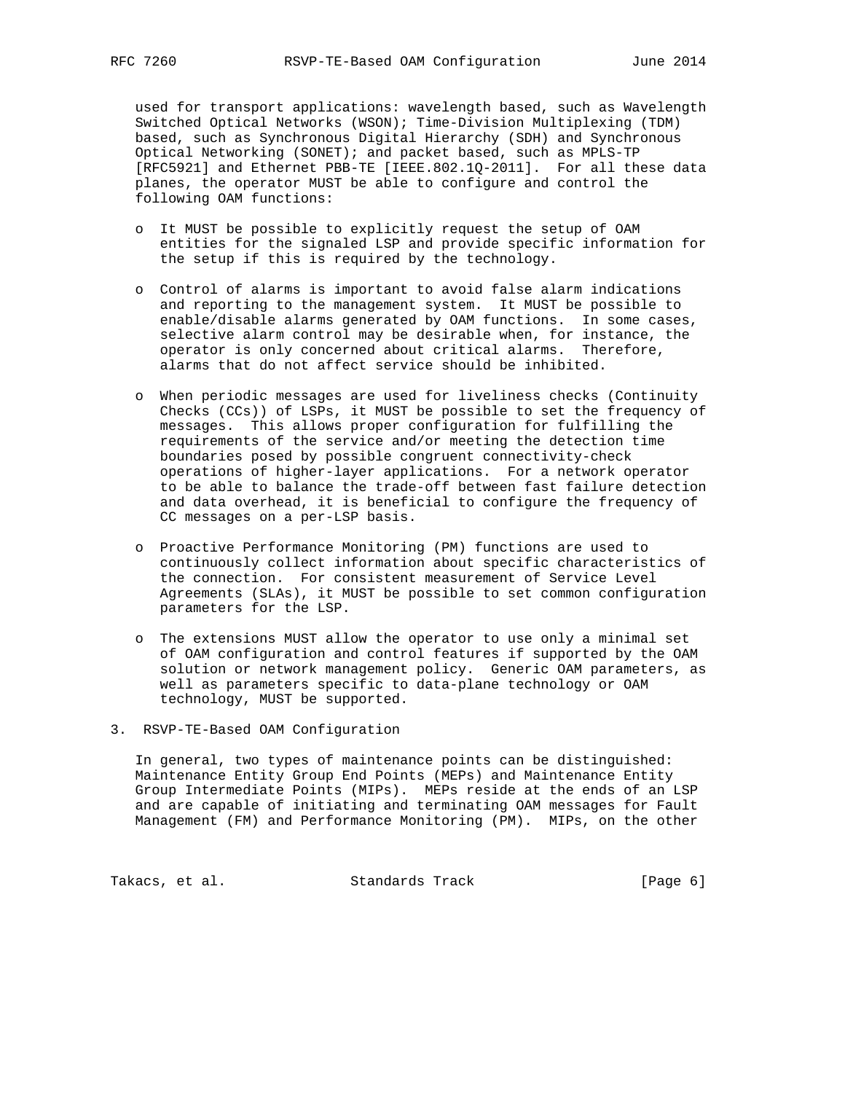used for transport applications: wavelength based, such as Wavelength Switched Optical Networks (WSON); Time-Division Multiplexing (TDM) based, such as Synchronous Digital Hierarchy (SDH) and Synchronous Optical Networking (SONET); and packet based, such as MPLS-TP [RFC5921] and Ethernet PBB-TE [IEEE.802.1Q-2011]. For all these data planes, the operator MUST be able to configure and control the following OAM functions:

- o It MUST be possible to explicitly request the setup of OAM entities for the signaled LSP and provide specific information for the setup if this is required by the technology.
- o Control of alarms is important to avoid false alarm indications and reporting to the management system. It MUST be possible to enable/disable alarms generated by OAM functions. In some cases, selective alarm control may be desirable when, for instance, the operator is only concerned about critical alarms. Therefore, alarms that do not affect service should be inhibited.
- o When periodic messages are used for liveliness checks (Continuity Checks (CCs)) of LSPs, it MUST be possible to set the frequency of messages. This allows proper configuration for fulfilling the requirements of the service and/or meeting the detection time boundaries posed by possible congruent connectivity-check operations of higher-layer applications. For a network operator to be able to balance the trade-off between fast failure detection and data overhead, it is beneficial to configure the frequency of CC messages on a per-LSP basis.
- o Proactive Performance Monitoring (PM) functions are used to continuously collect information about specific characteristics of the connection. For consistent measurement of Service Level Agreements (SLAs), it MUST be possible to set common configuration parameters for the LSP.
- o The extensions MUST allow the operator to use only a minimal set of OAM configuration and control features if supported by the OAM solution or network management policy. Generic OAM parameters, as well as parameters specific to data-plane technology or OAM technology, MUST be supported.
- 3. RSVP-TE-Based OAM Configuration

 In general, two types of maintenance points can be distinguished: Maintenance Entity Group End Points (MEPs) and Maintenance Entity Group Intermediate Points (MIPs). MEPs reside at the ends of an LSP and are capable of initiating and terminating OAM messages for Fault Management (FM) and Performance Monitoring (PM). MIPs, on the other

Takacs, et al. Standards Track [Page 6]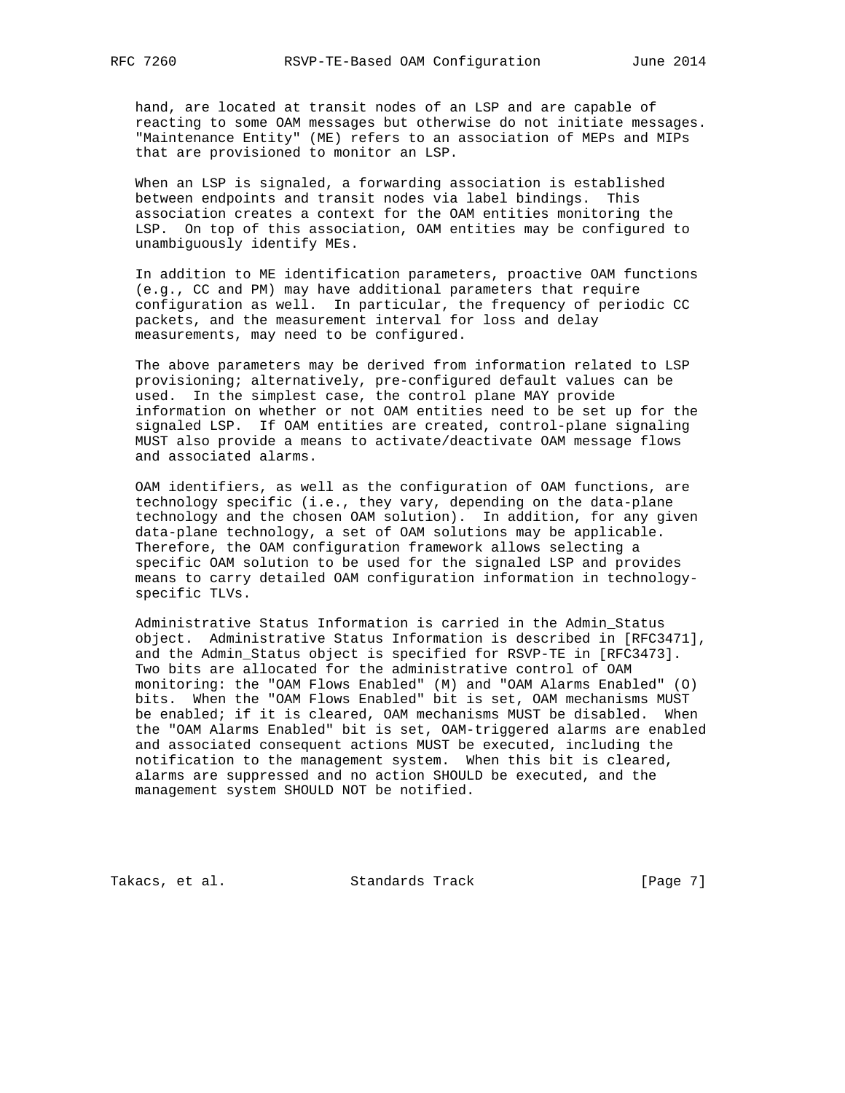hand, are located at transit nodes of an LSP and are capable of reacting to some OAM messages but otherwise do not initiate messages. "Maintenance Entity" (ME) refers to an association of MEPs and MIPs that are provisioned to monitor an LSP.

 When an LSP is signaled, a forwarding association is established between endpoints and transit nodes via label bindings. This association creates a context for the OAM entities monitoring the LSP. On top of this association, OAM entities may be configured to unambiguously identify MEs.

 In addition to ME identification parameters, proactive OAM functions (e.g., CC and PM) may have additional parameters that require configuration as well. In particular, the frequency of periodic CC packets, and the measurement interval for loss and delay measurements, may need to be configured.

 The above parameters may be derived from information related to LSP provisioning; alternatively, pre-configured default values can be used. In the simplest case, the control plane MAY provide information on whether or not OAM entities need to be set up for the signaled LSP. If OAM entities are created, control-plane signaling MUST also provide a means to activate/deactivate OAM message flows and associated alarms.

 OAM identifiers, as well as the configuration of OAM functions, are technology specific (i.e., they vary, depending on the data-plane technology and the chosen OAM solution). In addition, for any given data-plane technology, a set of OAM solutions may be applicable. Therefore, the OAM configuration framework allows selecting a specific OAM solution to be used for the signaled LSP and provides means to carry detailed OAM configuration information in technology specific TLVs.

 Administrative Status Information is carried in the Admin\_Status object. Administrative Status Information is described in [RFC3471], and the Admin\_Status object is specified for RSVP-TE in [RFC3473]. Two bits are allocated for the administrative control of OAM monitoring: the "OAM Flows Enabled" (M) and "OAM Alarms Enabled" (O) bits. When the "OAM Flows Enabled" bit is set, OAM mechanisms MUST be enabled; if it is cleared, OAM mechanisms MUST be disabled. When the "OAM Alarms Enabled" bit is set, OAM-triggered alarms are enabled and associated consequent actions MUST be executed, including the notification to the management system. When this bit is cleared, alarms are suppressed and no action SHOULD be executed, and the management system SHOULD NOT be notified.

Takacs, et al. Standards Track [Page 7]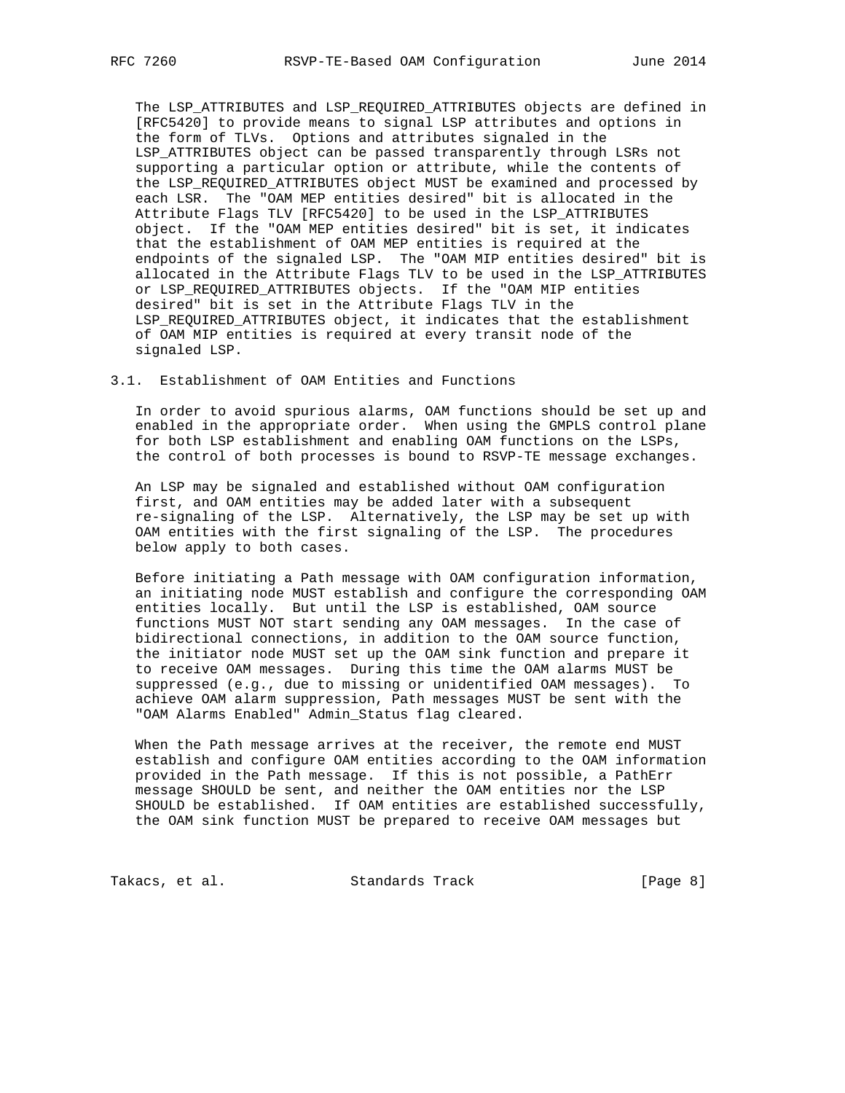The LSP\_ATTRIBUTES and LSP\_REQUIRED\_ATTRIBUTES objects are defined in [RFC5420] to provide means to signal LSP attributes and options in the form of TLVs. Options and attributes signaled in the LSP\_ATTRIBUTES object can be passed transparently through LSRs not supporting a particular option or attribute, while the contents of the LSP\_REQUIRED\_ATTRIBUTES object MUST be examined and processed by each LSR. The "OAM MEP entities desired" bit is allocated in the Attribute Flags TLV [RFC5420] to be used in the LSP\_ATTRIBUTES object. If the "OAM MEP entities desired" bit is set, it indicates that the establishment of OAM MEP entities is required at the endpoints of the signaled LSP. The "OAM MIP entities desired" bit is allocated in the Attribute Flags TLV to be used in the LSP\_ATTRIBUTES or LSP\_REQUIRED\_ATTRIBUTES objects. If the "OAM MIP entities desired" bit is set in the Attribute Flags TLV in the LSP\_REQUIRED\_ATTRIBUTES object, it indicates that the establishment of OAM MIP entities is required at every transit node of the signaled LSP.

## 3.1. Establishment of OAM Entities and Functions

 In order to avoid spurious alarms, OAM functions should be set up and enabled in the appropriate order. When using the GMPLS control plane for both LSP establishment and enabling OAM functions on the LSPs, the control of both processes is bound to RSVP-TE message exchanges.

 An LSP may be signaled and established without OAM configuration first, and OAM entities may be added later with a subsequent re-signaling of the LSP. Alternatively, the LSP may be set up with OAM entities with the first signaling of the LSP. The procedures below apply to both cases.

 Before initiating a Path message with OAM configuration information, an initiating node MUST establish and configure the corresponding OAM entities locally. But until the LSP is established, OAM source functions MUST NOT start sending any OAM messages. In the case of bidirectional connections, in addition to the OAM source function, the initiator node MUST set up the OAM sink function and prepare it to receive OAM messages. During this time the OAM alarms MUST be suppressed (e.g., due to missing or unidentified OAM messages). To achieve OAM alarm suppression, Path messages MUST be sent with the "OAM Alarms Enabled" Admin\_Status flag cleared.

 When the Path message arrives at the receiver, the remote end MUST establish and configure OAM entities according to the OAM information provided in the Path message. If this is not possible, a PathErr message SHOULD be sent, and neither the OAM entities nor the LSP SHOULD be established. If OAM entities are established successfully, the OAM sink function MUST be prepared to receive OAM messages but

Takacs, et al. Standards Track [Page 8]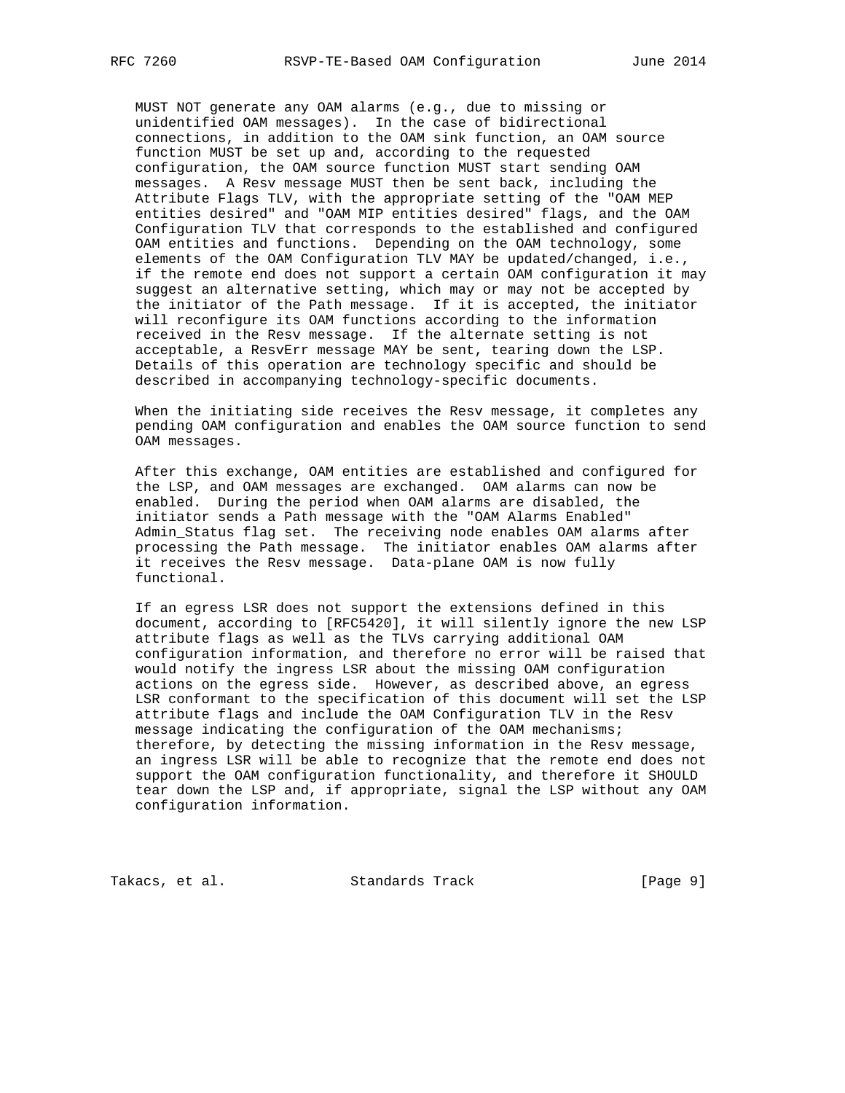MUST NOT generate any OAM alarms (e.g., due to missing or unidentified OAM messages). In the case of bidirectional connections, in addition to the OAM sink function, an OAM source function MUST be set up and, according to the requested configuration, the OAM source function MUST start sending OAM messages. A Resv message MUST then be sent back, including the Attribute Flags TLV, with the appropriate setting of the "OAM MEP entities desired" and "OAM MIP entities desired" flags, and the OAM Configuration TLV that corresponds to the established and configured OAM entities and functions. Depending on the OAM technology, some elements of the OAM Configuration TLV MAY be updated/changed, i.e., if the remote end does not support a certain OAM configuration it may suggest an alternative setting, which may or may not be accepted by the initiator of the Path message. If it is accepted, the initiator will reconfigure its OAM functions according to the information received in the Resv message. If the alternate setting is not acceptable, a ResvErr message MAY be sent, tearing down the LSP. Details of this operation are technology specific and should be described in accompanying technology-specific documents.

 When the initiating side receives the Resv message, it completes any pending OAM configuration and enables the OAM source function to send OAM messages.

 After this exchange, OAM entities are established and configured for the LSP, and OAM messages are exchanged. OAM alarms can now be enabled. During the period when OAM alarms are disabled, the initiator sends a Path message with the "OAM Alarms Enabled" Admin\_Status flag set. The receiving node enables OAM alarms after processing the Path message. The initiator enables OAM alarms after it receives the Resv message. Data-plane OAM is now fully functional.

 If an egress LSR does not support the extensions defined in this document, according to [RFC5420], it will silently ignore the new LSP attribute flags as well as the TLVs carrying additional OAM configuration information, and therefore no error will be raised that would notify the ingress LSR about the missing OAM configuration actions on the egress side. However, as described above, an egress LSR conformant to the specification of this document will set the LSP attribute flags and include the OAM Configuration TLV in the Resv message indicating the configuration of the OAM mechanisms; therefore, by detecting the missing information in the Resv message, an ingress LSR will be able to recognize that the remote end does not support the OAM configuration functionality, and therefore it SHOULD tear down the LSP and, if appropriate, signal the LSP without any OAM configuration information.

Takacs, et al. Standards Track [Page 9]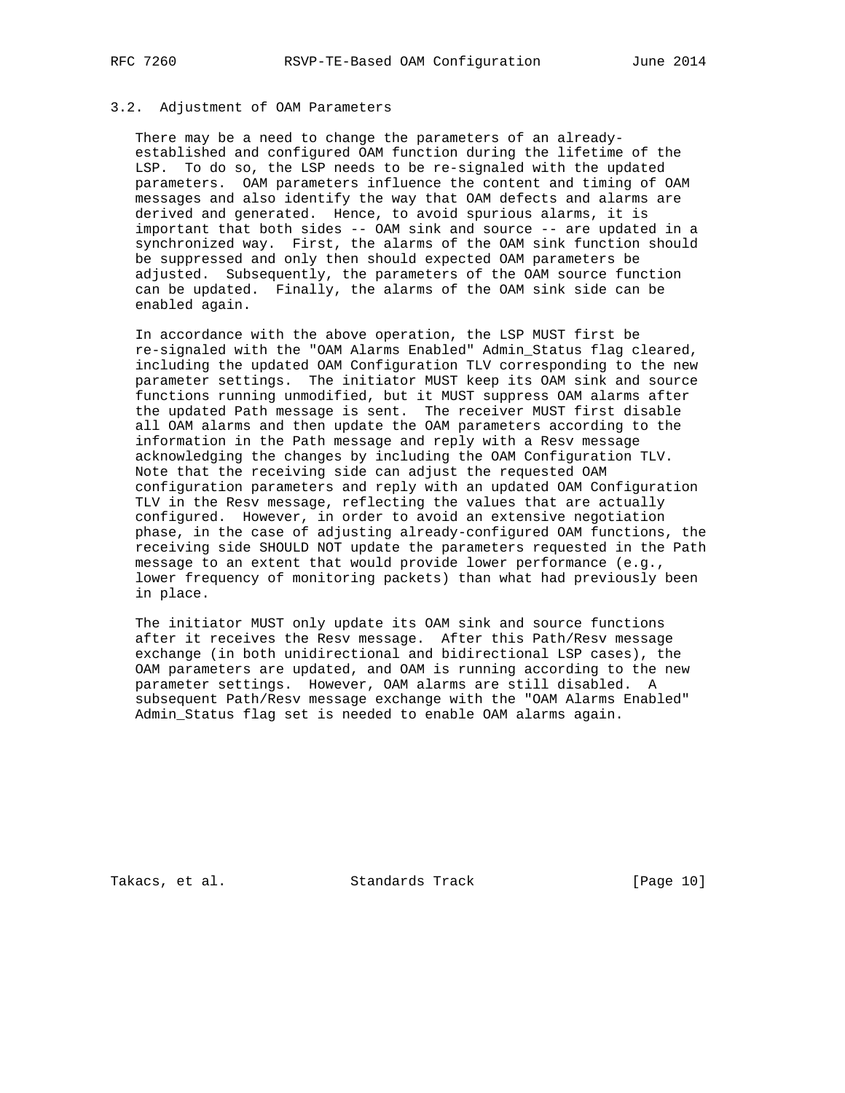## 3.2. Adjustment of OAM Parameters

 There may be a need to change the parameters of an already established and configured OAM function during the lifetime of the LSP. To do so, the LSP needs to be re-signaled with the updated parameters. OAM parameters influence the content and timing of OAM messages and also identify the way that OAM defects and alarms are derived and generated. Hence, to avoid spurious alarms, it is important that both sides -- OAM sink and source -- are updated in a synchronized way. First, the alarms of the OAM sink function should be suppressed and only then should expected OAM parameters be adjusted. Subsequently, the parameters of the OAM source function can be updated. Finally, the alarms of the OAM sink side can be enabled again.

 In accordance with the above operation, the LSP MUST first be re-signaled with the "OAM Alarms Enabled" Admin\_Status flag cleared, including the updated OAM Configuration TLV corresponding to the new parameter settings. The initiator MUST keep its OAM sink and source functions running unmodified, but it MUST suppress OAM alarms after the updated Path message is sent. The receiver MUST first disable all OAM alarms and then update the OAM parameters according to the information in the Path message and reply with a Resv message acknowledging the changes by including the OAM Configuration TLV. Note that the receiving side can adjust the requested OAM configuration parameters and reply with an updated OAM Configuration TLV in the Resv message, reflecting the values that are actually configured. However, in order to avoid an extensive negotiation phase, in the case of adjusting already-configured OAM functions, the receiving side SHOULD NOT update the parameters requested in the Path message to an extent that would provide lower performance (e.g., lower frequency of monitoring packets) than what had previously been in place.

 The initiator MUST only update its OAM sink and source functions after it receives the Resv message. After this Path/Resv message exchange (in both unidirectional and bidirectional LSP cases), the OAM parameters are updated, and OAM is running according to the new parameter settings. However, OAM alarms are still disabled. A subsequent Path/Resv message exchange with the "OAM Alarms Enabled" Admin\_Status flag set is needed to enable OAM alarms again.

Takacs, et al. Standards Track [Page 10]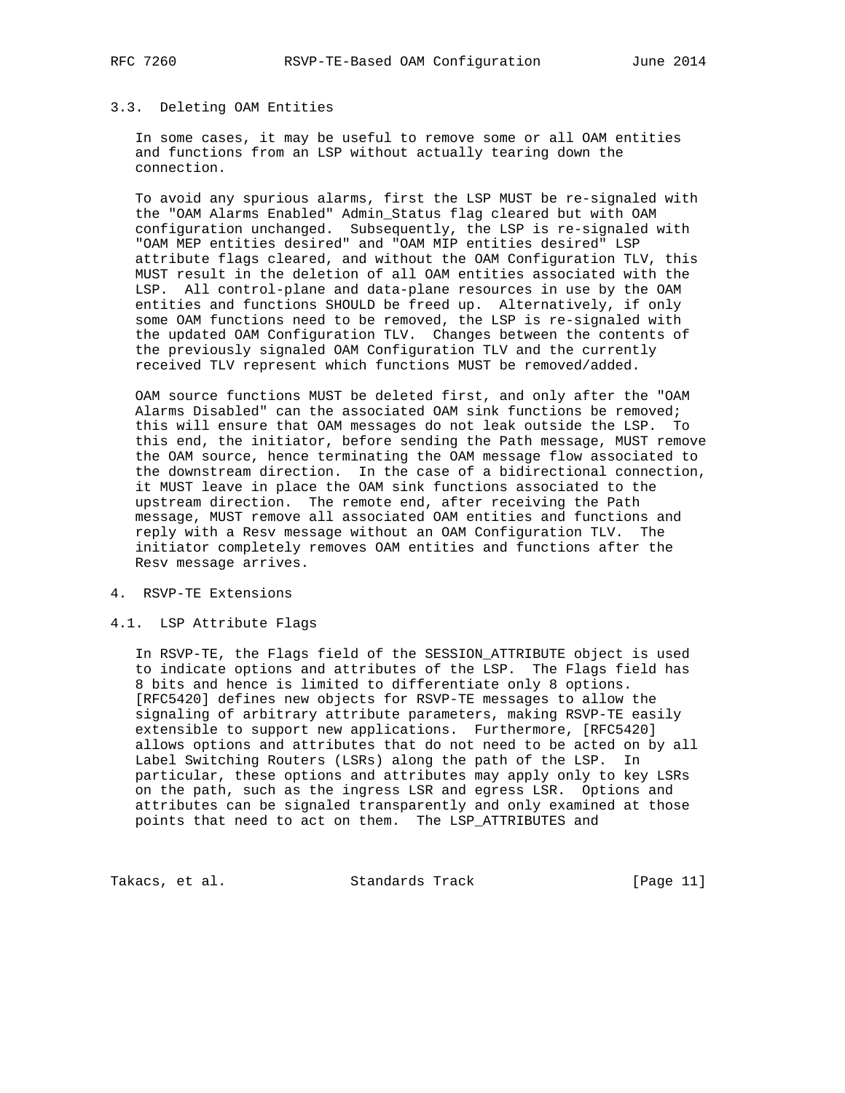## 3.3. Deleting OAM Entities

 In some cases, it may be useful to remove some or all OAM entities and functions from an LSP without actually tearing down the connection.

 To avoid any spurious alarms, first the LSP MUST be re-signaled with the "OAM Alarms Enabled" Admin\_Status flag cleared but with OAM configuration unchanged. Subsequently, the LSP is re-signaled with "OAM MEP entities desired" and "OAM MIP entities desired" LSP attribute flags cleared, and without the OAM Configuration TLV, this MUST result in the deletion of all OAM entities associated with the LSP. All control-plane and data-plane resources in use by the OAM entities and functions SHOULD be freed up. Alternatively, if only some OAM functions need to be removed, the LSP is re-signaled with the updated OAM Configuration TLV. Changes between the contents of the previously signaled OAM Configuration TLV and the currently received TLV represent which functions MUST be removed/added.

 OAM source functions MUST be deleted first, and only after the "OAM Alarms Disabled" can the associated OAM sink functions be removed; this will ensure that OAM messages do not leak outside the LSP. To this end, the initiator, before sending the Path message, MUST remove the OAM source, hence terminating the OAM message flow associated to the downstream direction. In the case of a bidirectional connection, it MUST leave in place the OAM sink functions associated to the upstream direction. The remote end, after receiving the Path message, MUST remove all associated OAM entities and functions and reply with a Resv message without an OAM Configuration TLV. The initiator completely removes OAM entities and functions after the Resv message arrives.

- 4. RSVP-TE Extensions
- 4.1. LSP Attribute Flags

 In RSVP-TE, the Flags field of the SESSION\_ATTRIBUTE object is used to indicate options and attributes of the LSP. The Flags field has 8 bits and hence is limited to differentiate only 8 options. [RFC5420] defines new objects for RSVP-TE messages to allow the signaling of arbitrary attribute parameters, making RSVP-TE easily extensible to support new applications. Furthermore, [RFC5420] allows options and attributes that do not need to be acted on by all Label Switching Routers (LSRs) along the path of the LSP. In particular, these options and attributes may apply only to key LSRs on the path, such as the ingress LSR and egress LSR. Options and attributes can be signaled transparently and only examined at those points that need to act on them. The LSP\_ATTRIBUTES and

Takacs, et al. Standards Track [Page 11]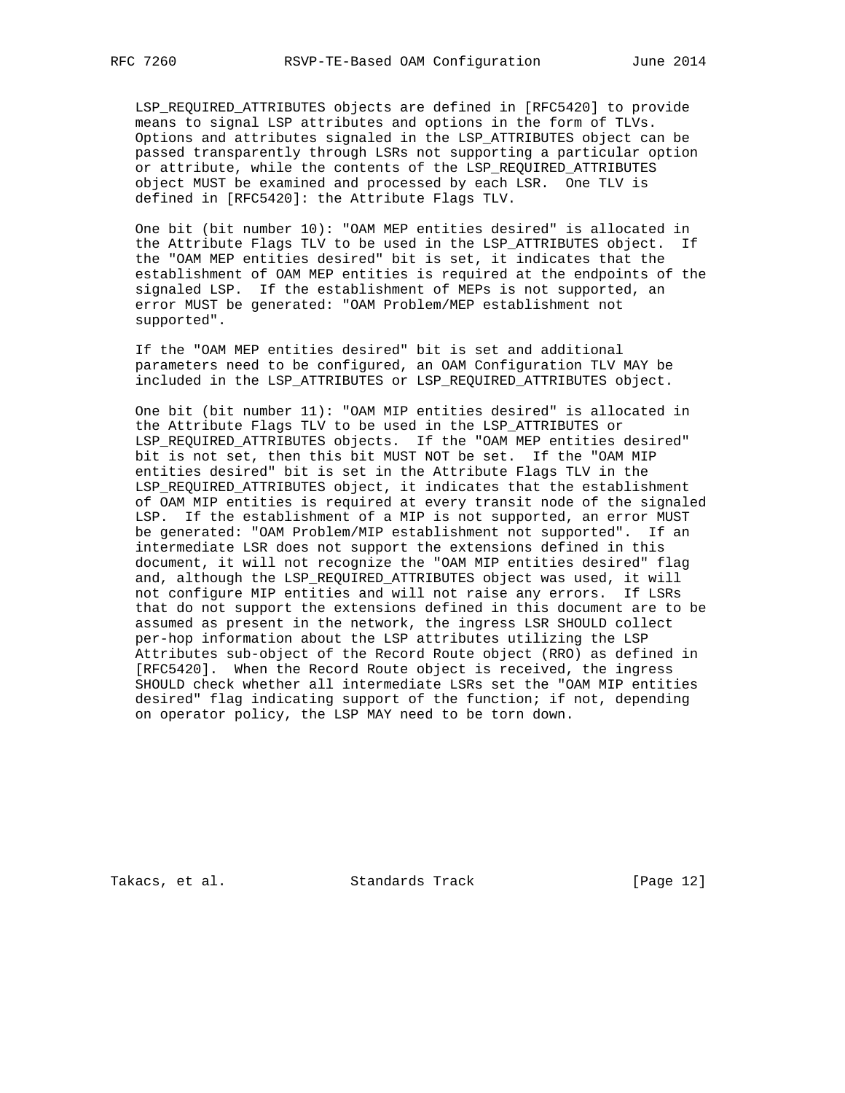LSP\_REQUIRED\_ATTRIBUTES objects are defined in [RFC5420] to provide means to signal LSP attributes and options in the form of TLVs. Options and attributes signaled in the LSP\_ATTRIBUTES object can be passed transparently through LSRs not supporting a particular option or attribute, while the contents of the LSP\_REQUIRED\_ATTRIBUTES object MUST be examined and processed by each LSR. One TLV is defined in [RFC5420]: the Attribute Flags TLV.

 One bit (bit number 10): "OAM MEP entities desired" is allocated in the Attribute Flags TLV to be used in the LSP\_ATTRIBUTES object. If the "OAM MEP entities desired" bit is set, it indicates that the establishment of OAM MEP entities is required at the endpoints of the signaled LSP. If the establishment of MEPs is not supported, an error MUST be generated: "OAM Problem/MEP establishment not supported".

 If the "OAM MEP entities desired" bit is set and additional parameters need to be configured, an OAM Configuration TLV MAY be included in the LSP\_ATTRIBUTES or LSP\_REQUIRED\_ATTRIBUTES object.

 One bit (bit number 11): "OAM MIP entities desired" is allocated in the Attribute Flags TLV to be used in the LSP\_ATTRIBUTES or LSP\_REQUIRED\_ATTRIBUTES objects. If the "OAM MEP entities desired" bit is not set, then this bit MUST NOT be set. If the "OAM MIP entities desired" bit is set in the Attribute Flags TLV in the LSP\_REQUIRED\_ATTRIBUTES object, it indicates that the establishment of OAM MIP entities is required at every transit node of the signaled LSP. If the establishment of a MIP is not supported, an error MUST be generated: "OAM Problem/MIP establishment not supported". If an intermediate LSR does not support the extensions defined in this document, it will not recognize the "OAM MIP entities desired" flag and, although the LSP\_REQUIRED\_ATTRIBUTES object was used, it will not configure MIP entities and will not raise any errors. If LSRs that do not support the extensions defined in this document are to be assumed as present in the network, the ingress LSR SHOULD collect per-hop information about the LSP attributes utilizing the LSP Attributes sub-object of the Record Route object (RRO) as defined in [RFC5420]. When the Record Route object is received, the ingress SHOULD check whether all intermediate LSRs set the "OAM MIP entities desired" flag indicating support of the function; if not, depending on operator policy, the LSP MAY need to be torn down.

Takacs, et al. Standards Track [Page 12]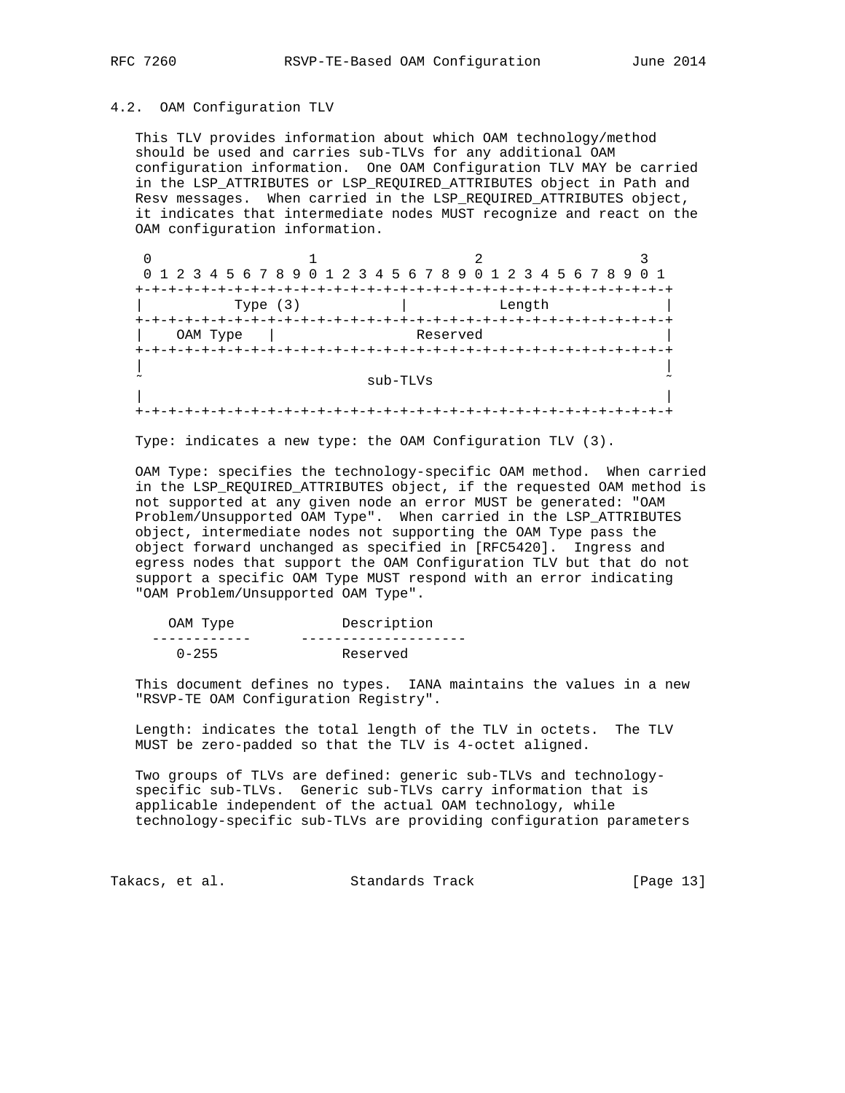### 4.2. OAM Configuration TLV

 This TLV provides information about which OAM technology/method should be used and carries sub-TLVs for any additional OAM configuration information. One OAM Configuration TLV MAY be carried in the LSP\_ATTRIBUTES or LSP\_REQUIRED\_ATTRIBUTES object in Path and Resv messages. When carried in the LSP\_REQUIRED\_ATTRIBUTES object, it indicates that intermediate nodes MUST recognize and react on the OAM configuration information.

|          | 0 1 2 3 4 5 6 7 8 9 0 1 2 3 4 5 6 7 8 9 0 1 2 3 4 5 6 7 8 9 |                        |                                      | $\Omega$ |
|----------|-------------------------------------------------------------|------------------------|--------------------------------------|----------|
|          |                                                             |                        | -+-+-+-+-+-+-+-+-+-+-+-+-+-+-+-+-+-+ |          |
|          | Type $(3)$                                                  |                        | Length                               |          |
|          |                                                             | -+-+-+-+-+-+-+-+-+-+-+ |                                      |          |
| OAM Type |                                                             | Reserved               |                                      |          |
|          |                                                             |                        | -+-+-+-+-+-+-+-+-+-+-+-+-+-+-+-+-+   |          |
|          |                                                             |                        |                                      |          |
|          |                                                             | sub-TLVs               |                                      |          |
|          |                                                             |                        |                                      |          |
| $+-$     |                                                             |                        |                                      |          |

Type: indicates a new type: the OAM Configuration TLV (3).

 OAM Type: specifies the technology-specific OAM method. When carried in the LSP\_REQUIRED\_ATTRIBUTES object, if the requested OAM method is not supported at any given node an error MUST be generated: "OAM Problem/Unsupported OAM Type". When carried in the LSP\_ATTRIBUTES object, intermediate nodes not supporting the OAM Type pass the object forward unchanged as specified in [RFC5420]. Ingress and egress nodes that support the OAM Configuration TLV but that do not support a specific OAM Type MUST respond with an error indicating "OAM Problem/Unsupported OAM Type".

| OAM Type  | Description |
|-----------|-------------|
|           |             |
| $0 - 255$ | Reserved    |

 This document defines no types. IANA maintains the values in a new "RSVP-TE OAM Configuration Registry".

 Length: indicates the total length of the TLV in octets. The TLV MUST be zero-padded so that the TLV is 4-octet aligned.

 Two groups of TLVs are defined: generic sub-TLVs and technology specific sub-TLVs. Generic sub-TLVs carry information that is applicable independent of the actual OAM technology, while technology-specific sub-TLVs are providing configuration parameters

Takacs, et al. Standards Track [Page 13]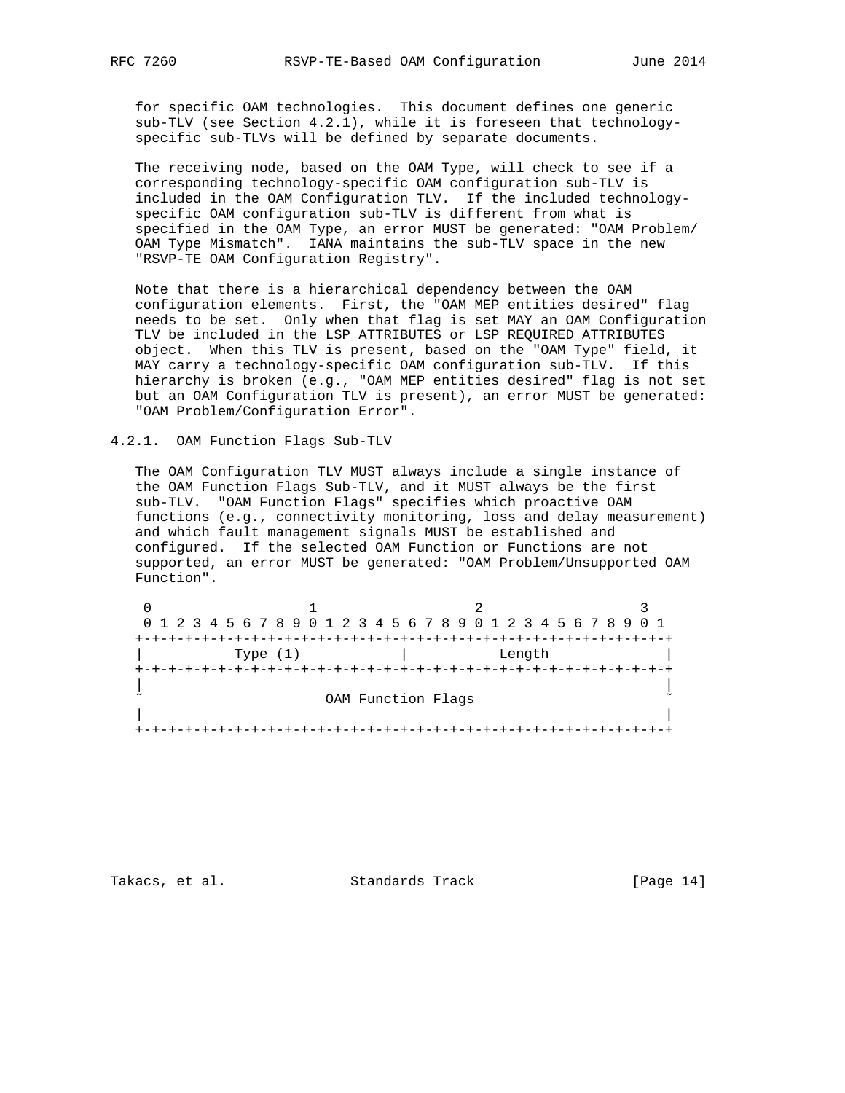for specific OAM technologies. This document defines one generic sub-TLV (see Section 4.2.1), while it is foreseen that technology specific sub-TLVs will be defined by separate documents.

 The receiving node, based on the OAM Type, will check to see if a corresponding technology-specific OAM configuration sub-TLV is included in the OAM Configuration TLV. If the included technology specific OAM configuration sub-TLV is different from what is specified in the OAM Type, an error MUST be generated: "OAM Problem/ OAM Type Mismatch". IANA maintains the sub-TLV space in the new "RSVP-TE OAM Configuration Registry".

 Note that there is a hierarchical dependency between the OAM configuration elements. First, the "OAM MEP entities desired" flag needs to be set. Only when that flag is set MAY an OAM Configuration TLV be included in the LSP\_ATTRIBUTES or LSP\_REQUIRED\_ATTRIBUTES object. When this TLV is present, based on the "OAM Type" field, it MAY carry a technology-specific OAM configuration sub-TLV. If this hierarchy is broken (e.g., "OAM MEP entities desired" flag is not set but an OAM Configuration TLV is present), an error MUST be generated: "OAM Problem/Configuration Error".

### 4.2.1. OAM Function Flags Sub-TLV

 The OAM Configuration TLV MUST always include a single instance of the OAM Function Flags Sub-TLV, and it MUST always be the first sub-TLV. "OAM Function Flags" specifies which proactive OAM functions (e.g., connectivity monitoring, loss and delay measurement) and which fault management signals MUST be established and configured. If the selected OAM Function or Functions are not supported, an error MUST be generated: "OAM Problem/Unsupported OAM Function".

| 0 1 2 3 4 5 6 7 8 9 0 1 2 3 4 5 6 7 8 9 0 1 2 3 4 5 6 7 8 9 0 1 |                    |  |
|-----------------------------------------------------------------|--------------------|--|
|                                                                 |                    |  |
| Type $(1)$                                                      | Length             |  |
|                                                                 |                    |  |
|                                                                 | OAM Function Flags |  |
|                                                                 |                    |  |

Takacs, et al. Standards Track [Page 14]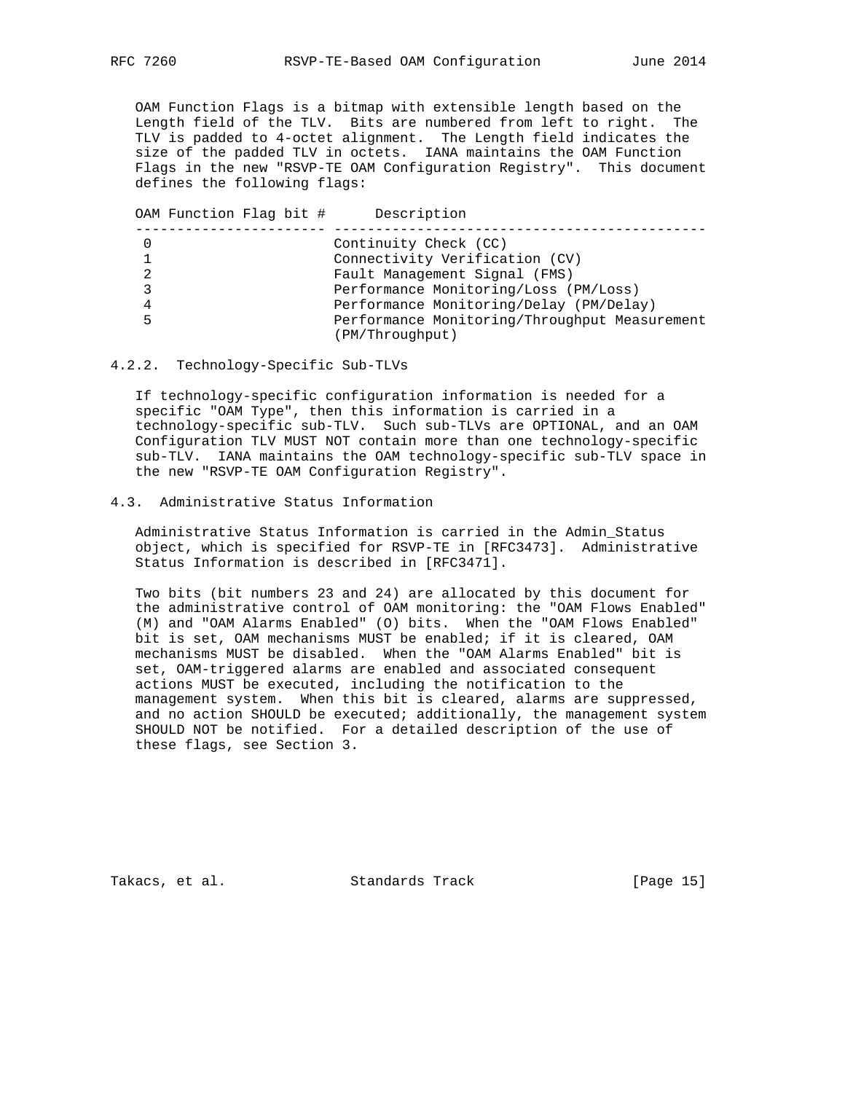OAM Function Flags is a bitmap with extensible length based on the Length field of the TLV. Bits are numbered from left to right. The TLV is padded to 4-octet alignment. The Length field indicates the size of the padded TLV in octets. IANA maintains the OAM Function Flags in the new "RSVP-TE OAM Configuration Registry". This document defines the following flags:

|   | OAM Function Flag bit # | Description                                   |
|---|-------------------------|-----------------------------------------------|
| 0 |                         | Continuity Check (CC)                         |
|   |                         | Connectivity Verification (CV)                |
| 2 |                         | Fault Management Signal (FMS)                 |
| 3 |                         | Performance Monitoring/Loss (PM/Loss)         |
| 4 |                         | Performance Monitoring/Delay (PM/Delay)       |
| 5 |                         | Performance Monitoring/Throughput Measurement |
|   |                         | (PM/Throughput)                               |

### 4.2.2. Technology-Specific Sub-TLVs

 If technology-specific configuration information is needed for a specific "OAM Type", then this information is carried in a technology-specific sub-TLV. Such sub-TLVs are OPTIONAL, and an OAM Configuration TLV MUST NOT contain more than one technology-specific sub-TLV. IANA maintains the OAM technology-specific sub-TLV space in the new "RSVP-TE OAM Configuration Registry".

## 4.3. Administrative Status Information

 Administrative Status Information is carried in the Admin\_Status object, which is specified for RSVP-TE in [RFC3473]. Administrative Status Information is described in [RFC3471].

 Two bits (bit numbers 23 and 24) are allocated by this document for the administrative control of OAM monitoring: the "OAM Flows Enabled" (M) and "OAM Alarms Enabled" (O) bits. When the "OAM Flows Enabled" bit is set, OAM mechanisms MUST be enabled; if it is cleared, OAM mechanisms MUST be disabled. When the "OAM Alarms Enabled" bit is set, OAM-triggered alarms are enabled and associated consequent actions MUST be executed, including the notification to the management system. When this bit is cleared, alarms are suppressed, and no action SHOULD be executed; additionally, the management system SHOULD NOT be notified. For a detailed description of the use of these flags, see Section 3.

Takacs, et al. Standards Track [Page 15]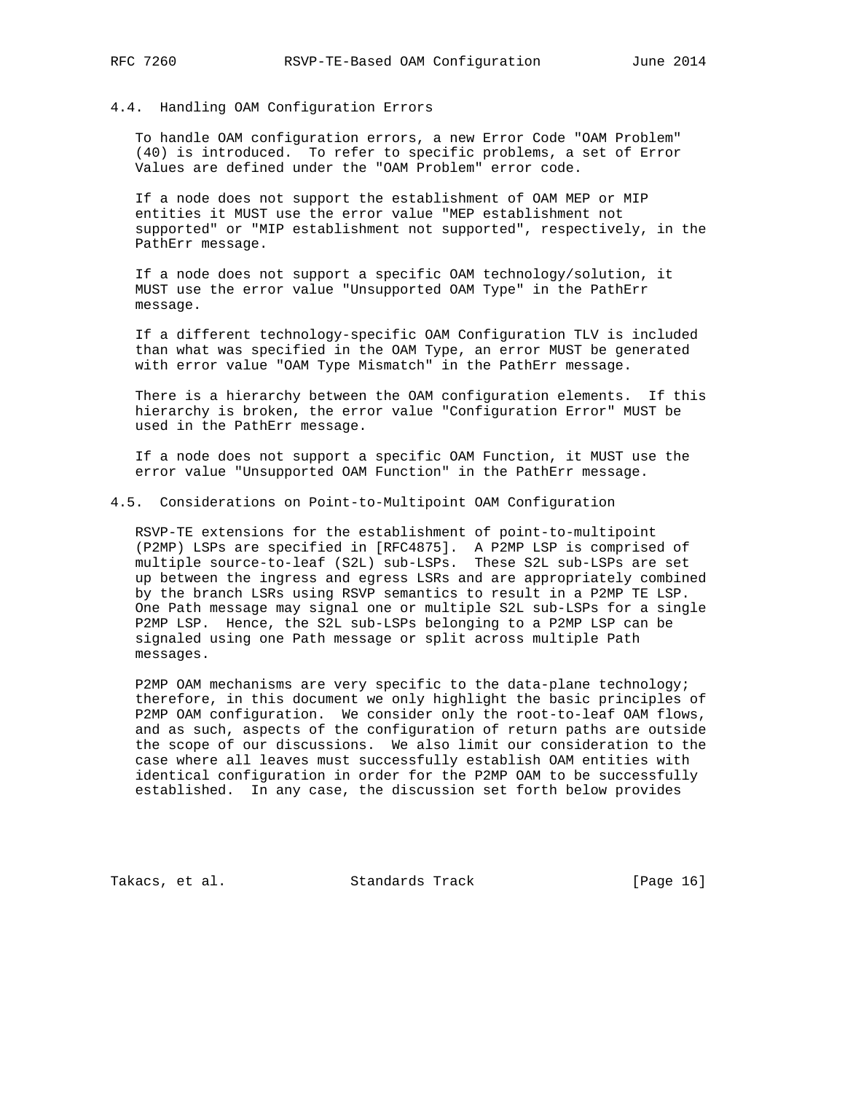## 4.4. Handling OAM Configuration Errors

 To handle OAM configuration errors, a new Error Code "OAM Problem" (40) is introduced. To refer to specific problems, a set of Error Values are defined under the "OAM Problem" error code.

 If a node does not support the establishment of OAM MEP or MIP entities it MUST use the error value "MEP establishment not supported" or "MIP establishment not supported", respectively, in the PathErr message.

 If a node does not support a specific OAM technology/solution, it MUST use the error value "Unsupported OAM Type" in the PathErr message.

 If a different technology-specific OAM Configuration TLV is included than what was specified in the OAM Type, an error MUST be generated with error value "OAM Type Mismatch" in the PathErr message.

 There is a hierarchy between the OAM configuration elements. If this hierarchy is broken, the error value "Configuration Error" MUST be used in the PathErr message.

 If a node does not support a specific OAM Function, it MUST use the error value "Unsupported OAM Function" in the PathErr message.

## 4.5. Considerations on Point-to-Multipoint OAM Configuration

 RSVP-TE extensions for the establishment of point-to-multipoint (P2MP) LSPs are specified in [RFC4875]. A P2MP LSP is comprised of multiple source-to-leaf (S2L) sub-LSPs. These S2L sub-LSPs are set up between the ingress and egress LSRs and are appropriately combined by the branch LSRs using RSVP semantics to result in a P2MP TE LSP. One Path message may signal one or multiple S2L sub-LSPs for a single P2MP LSP. Hence, the S2L sub-LSPs belonging to a P2MP LSP can be signaled using one Path message or split across multiple Path messages.

 P2MP OAM mechanisms are very specific to the data-plane technology; therefore, in this document we only highlight the basic principles of P2MP OAM configuration. We consider only the root-to-leaf OAM flows, and as such, aspects of the configuration of return paths are outside the scope of our discussions. We also limit our consideration to the case where all leaves must successfully establish OAM entities with identical configuration in order for the P2MP OAM to be successfully established. In any case, the discussion set forth below provides

Takacs, et al. Standards Track [Page 16]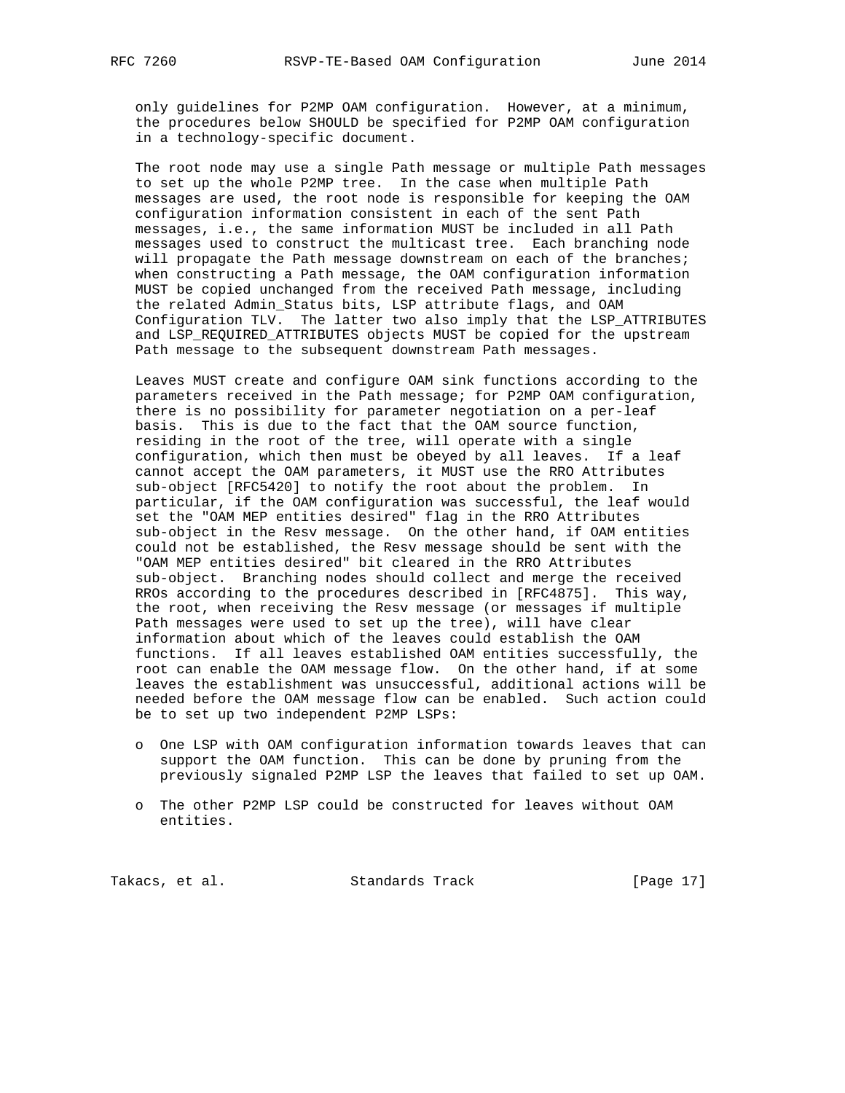only guidelines for P2MP OAM configuration. However, at a minimum, the procedures below SHOULD be specified for P2MP OAM configuration in a technology-specific document.

 The root node may use a single Path message or multiple Path messages to set up the whole P2MP tree. In the case when multiple Path messages are used, the root node is responsible for keeping the OAM configuration information consistent in each of the sent Path messages, i.e., the same information MUST be included in all Path messages used to construct the multicast tree. Each branching node will propagate the Path message downstream on each of the branches; when constructing a Path message, the OAM configuration information MUST be copied unchanged from the received Path message, including the related Admin\_Status bits, LSP attribute flags, and OAM Configuration TLV. The latter two also imply that the LSP\_ATTRIBUTES and LSP REQUIRED ATTRIBUTES objects MUST be copied for the upstream Path message to the subsequent downstream Path messages.

 Leaves MUST create and configure OAM sink functions according to the parameters received in the Path message; for P2MP OAM configuration, there is no possibility for parameter negotiation on a per-leaf basis. This is due to the fact that the OAM source function, residing in the root of the tree, will operate with a single configuration, which then must be obeyed by all leaves. If a leaf cannot accept the OAM parameters, it MUST use the RRO Attributes sub-object [RFC5420] to notify the root about the problem. In particular, if the OAM configuration was successful, the leaf would set the "OAM MEP entities desired" flag in the RRO Attributes sub-object in the Resv message. On the other hand, if OAM entities could not be established, the Resv message should be sent with the "OAM MEP entities desired" bit cleared in the RRO Attributes sub-object. Branching nodes should collect and merge the received RROs according to the procedures described in [RFC4875]. This way, the root, when receiving the Resv message (or messages if multiple Path messages were used to set up the tree), will have clear information about which of the leaves could establish the OAM functions. If all leaves established OAM entities successfully, the root can enable the OAM message flow. On the other hand, if at some leaves the establishment was unsuccessful, additional actions will be needed before the OAM message flow can be enabled. Such action could be to set up two independent P2MP LSPs:

- o One LSP with OAM configuration information towards leaves that can support the OAM function. This can be done by pruning from the previously signaled P2MP LSP the leaves that failed to set up OAM.
- o The other P2MP LSP could be constructed for leaves without OAM entities.

Takacs, et al. Standards Track [Page 17]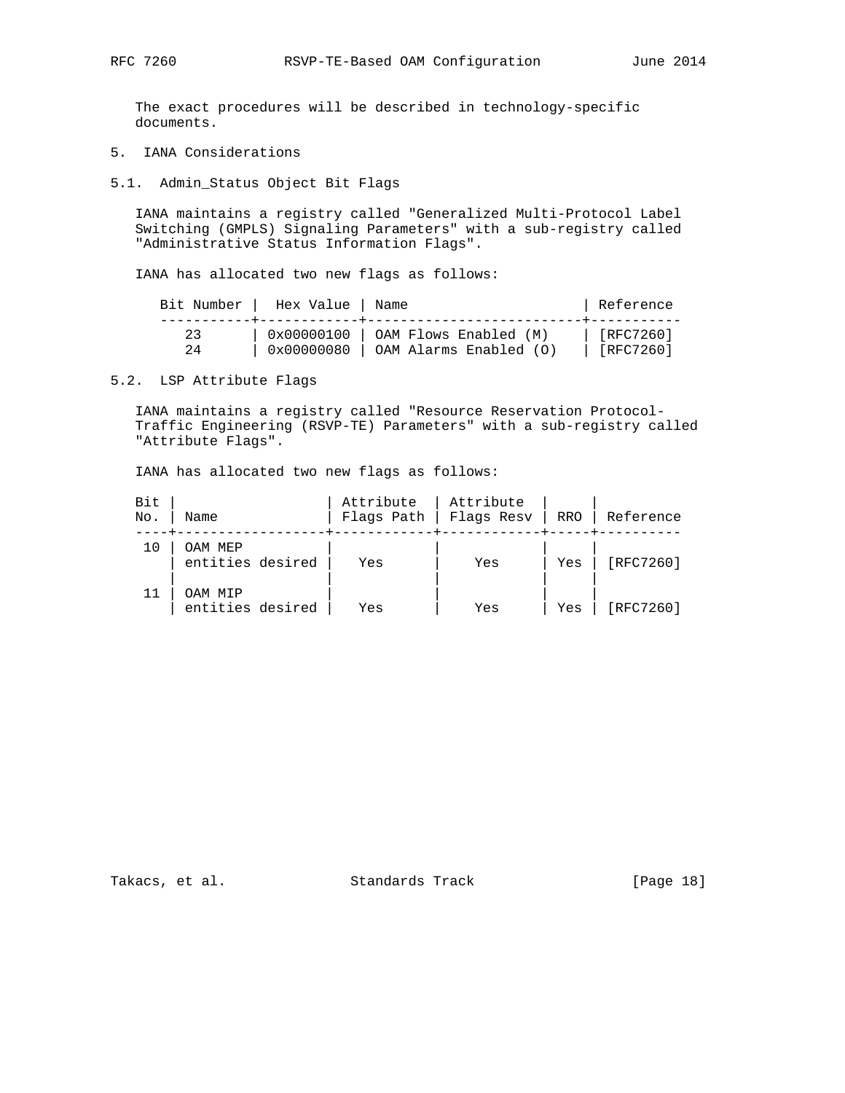The exact procedures will be described in technology-specific documents.

- 5. IANA Considerations
- 5.1. Admin\_Status Object Bit Flags

 IANA maintains a registry called "Generalized Multi-Protocol Label Switching (GMPLS) Signaling Parameters" with a sub-registry called "Administrative Status Information Flags".

IANA has allocated two new flags as follows:

|    | Bit Number   Hex Value   Name |                                              | Reference         |
|----|-------------------------------|----------------------------------------------|-------------------|
| 23 |                               | $0x00000100$ $\vert$ OAM Flows Enabled $(M)$ | $\vert$ [RFC7260] |
| 24 |                               | $0x00000080$   OAM Alarms Enabled (O)        | [RFC7260]         |

5.2. LSP Attribute Flags

 IANA maintains a registry called "Resource Reservation Protocol- Traffic Engineering (RSVP-TE) Parameters" with a sub-registry called "Attribute Flags".

IANA has allocated two new flags as follows:

| Bit<br>No. | Name                        | Attribute<br>Flags Path | Attribute<br>Flags Resv | RRO | Reference |
|------------|-----------------------------|-------------------------|-------------------------|-----|-----------|
|            | OAM MEP<br>entities desired | Yes                     | Yes                     | Yes | [RFC7260] |
|            | OAM MTP<br>entities desired | Yes                     | Yes                     | Yes | [RFC7260] |

Takacs, et al. Standards Track [Page 18]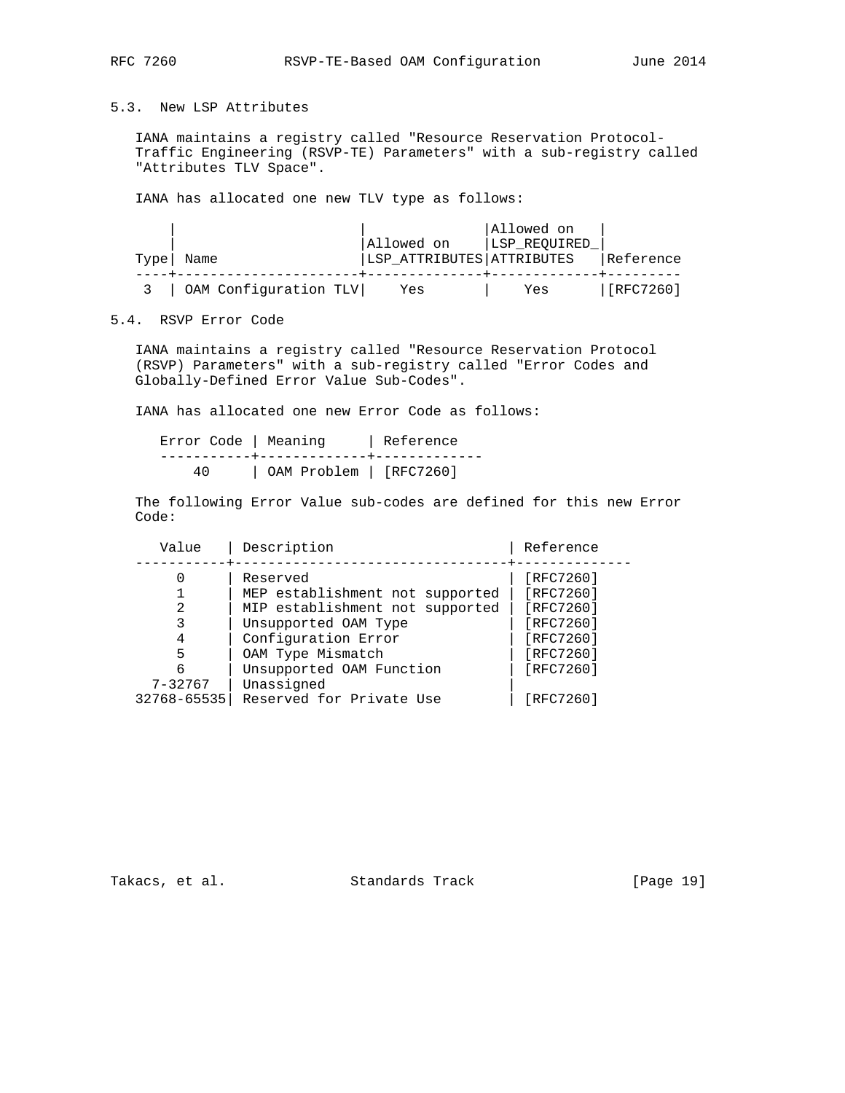## 5.3. New LSP Attributes

 IANA maintains a registry called "Resource Reservation Protocol- Traffic Engineering (RSVP-TE) Parameters" with a sub-registry called "Attributes TLV Space".

IANA has allocated one new TLV type as follows:

|      |                           |                           | Allowed on   |           |
|------|---------------------------|---------------------------|--------------|-----------|
|      |                           | Allowed on                | LSP REQUIRED |           |
| Type | Name                      | LSP ATTRIBUTES ATTRIBUTES |              | Reference |
|      |                           |                           |              |           |
|      | 3   OAM Configuration TLV | Yes                       | Yes          | [RFC7260] |

# 5.4. RSVP Error Code

 IANA maintains a registry called "Resource Reservation Protocol (RSVP) Parameters" with a sub-registry called "Error Codes and Globally-Defined Error Value Sub-Codes".

IANA has allocated one new Error Code as follows:

| Error Code   Meaning |                                                                                                                                            | Reference |
|----------------------|--------------------------------------------------------------------------------------------------------------------------------------------|-----------|
| 4 N                  | the contract of the contract of the contract of the contract of the contract of the contract of the contract of<br>OAM Problem   [RFC7260] |           |

 The following Error Value sub-codes are defined for this new Error Code:

| Value       | Description                     | Reference |
|-------------|---------------------------------|-----------|
|             | Reserved                        | [RTC7260] |
|             | MEP establishment not supported | [RFC7260] |
| 2           | MIP establishment not supported | [RFC7260] |
|             | Unsupported OAM Type            | [RFC7260] |
| 4           | Configuration Error             | [RFC7260] |
| 5           | OAM Type Mismatch               | [RFC7260] |
| 6           | Unsupported OAM Function        | [RFC7260] |
| $7 - 32767$ | Unassigned                      |           |
| 32768-65535 | Reserved for Private Use        | [RFC7260] |

Takacs, et al. Standards Track [Page 19]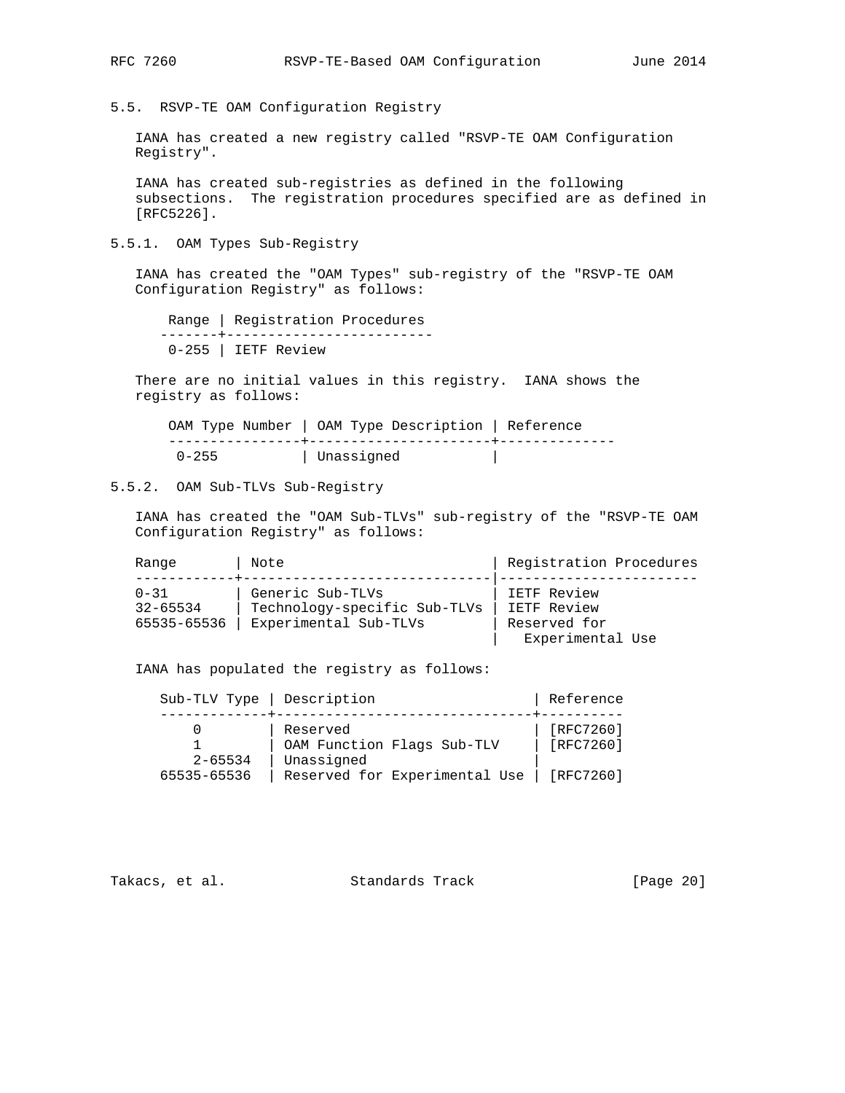5.5. RSVP-TE OAM Configuration Registry

 IANA has created a new registry called "RSVP-TE OAM Configuration Registry".

 IANA has created sub-registries as defined in the following subsections. The registration procedures specified are as defined in [RFC5226].

5.5.1. OAM Types Sub-Registry

 IANA has created the "OAM Types" sub-registry of the "RSVP-TE OAM Configuration Registry" as follows:

 Range | Registration Procedures -------+------------------------- 0-255 | IETF Review

 There are no initial values in this registry. IANA shows the registry as follows:

 OAM Type Number | OAM Type Description | Reference ----------------+----------------------+-------------- 0-255 | Unassigned |

5.5.2. OAM Sub-TLVs Sub-Registry

 IANA has created the "OAM Sub-TLVs" sub-registry of the "RSVP-TE OAM Configuration Registry" as follows:

| Range                                   | Note                                                                      | Registration Procedures                                        |
|-----------------------------------------|---------------------------------------------------------------------------|----------------------------------------------------------------|
| $0 - 31$<br>$32 - 65534$<br>65535-65536 | Generic Sub-TLVs<br>Technology-specific Sub-TLVs<br>Experimental Sub-TLVs | IETF Review<br>IETF Review<br>Reserved for<br>Experimental Use |

IANA has populated the registry as follows:

| Sub-TLV Type   Description |                                                      | Reference                |
|----------------------------|------------------------------------------------------|--------------------------|
| $2 - 65534$                | Reserved<br>OAM Function Flags Sub-TLV<br>Unassigned | [RFC7260]<br>$[RFC7260]$ |
| 65535-65536                | Reserved for Experimental Use                        | [RFC7260]                |

Takacs, et al. Standards Track [Page 20]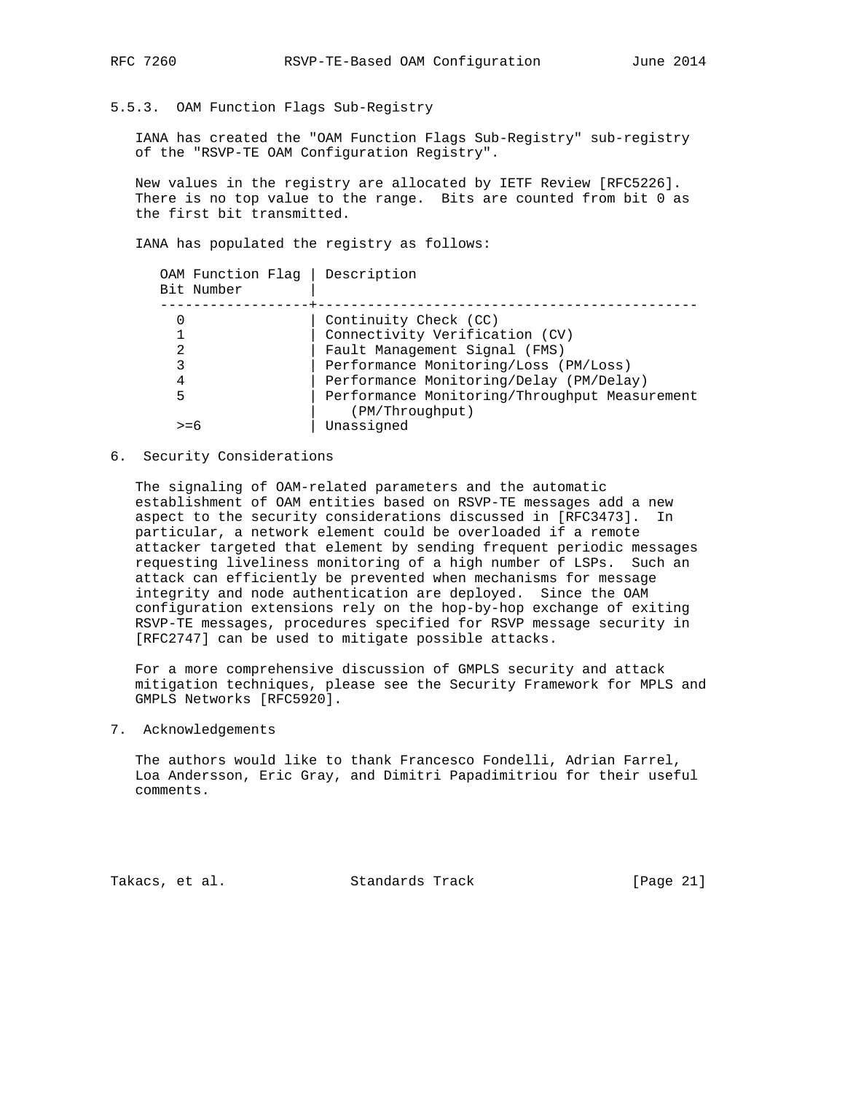## 5.5.3. OAM Function Flags Sub-Registry

 IANA has created the "OAM Function Flags Sub-Registry" sub-registry of the "RSVP-TE OAM Configuration Registry".

 New values in the registry are allocated by IETF Review [RFC5226]. There is no top value to the range. Bits are counted from bit 0 as the first bit transmitted.

IANA has populated the registry as follows:

| Description<br>OAM Function Flag              |
|-----------------------------------------------|
| Continuity Check (CC)                         |
| Connectivity Verification (CV)                |
| Fault Management Signal (FMS)                 |
| Performance Monitoring/Loss (PM/Loss)         |
| Performance Monitoring/Delay (PM/Delay)       |
| Performance Monitoring/Throughput Measurement |
| (PM/Throughput)                               |
| Unassigned                                    |
|                                               |

### 6. Security Considerations

 The signaling of OAM-related parameters and the automatic establishment of OAM entities based on RSVP-TE messages add a new aspect to the security considerations discussed in [RFC3473]. In particular, a network element could be overloaded if a remote attacker targeted that element by sending frequent periodic messages requesting liveliness monitoring of a high number of LSPs. Such an attack can efficiently be prevented when mechanisms for message integrity and node authentication are deployed. Since the OAM configuration extensions rely on the hop-by-hop exchange of exiting RSVP-TE messages, procedures specified for RSVP message security in [RFC2747] can be used to mitigate possible attacks.

 For a more comprehensive discussion of GMPLS security and attack mitigation techniques, please see the Security Framework for MPLS and GMPLS Networks [RFC5920].

### 7. Acknowledgements

 The authors would like to thank Francesco Fondelli, Adrian Farrel, Loa Andersson, Eric Gray, and Dimitri Papadimitriou for their useful comments.

Takacs, et al. Standards Track [Page 21]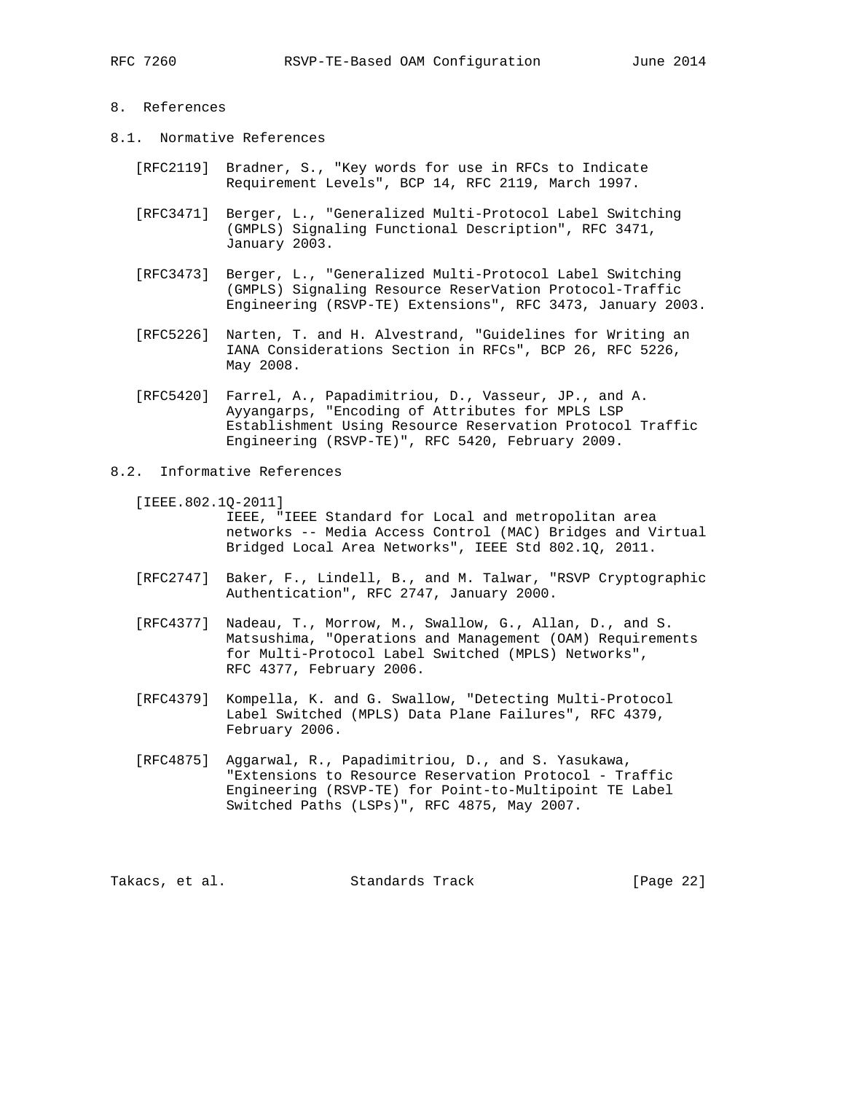## 8. References

- 8.1. Normative References
	- [RFC2119] Bradner, S., "Key words for use in RFCs to Indicate Requirement Levels", BCP 14, RFC 2119, March 1997.
	- [RFC3471] Berger, L., "Generalized Multi-Protocol Label Switching (GMPLS) Signaling Functional Description", RFC 3471, January 2003.
	- [RFC3473] Berger, L., "Generalized Multi-Protocol Label Switching (GMPLS) Signaling Resource ReserVation Protocol-Traffic Engineering (RSVP-TE) Extensions", RFC 3473, January 2003.
	- [RFC5226] Narten, T. and H. Alvestrand, "Guidelines for Writing an IANA Considerations Section in RFCs", BCP 26, RFC 5226, May 2008.
	- [RFC5420] Farrel, A., Papadimitriou, D., Vasseur, JP., and A. Ayyangarps, "Encoding of Attributes for MPLS LSP Establishment Using Resource Reservation Protocol Traffic Engineering (RSVP-TE)", RFC 5420, February 2009.
- 8.2. Informative References
	- [IEEE.802.1Q-2011] IEEE, "IEEE Standard for Local and metropolitan area networks -- Media Access Control (MAC) Bridges and Virtual Bridged Local Area Networks", IEEE Std 802.1Q, 2011.
	- [RFC2747] Baker, F., Lindell, B., and M. Talwar, "RSVP Cryptographic Authentication", RFC 2747, January 2000.
	- [RFC4377] Nadeau, T., Morrow, M., Swallow, G., Allan, D., and S. Matsushima, "Operations and Management (OAM) Requirements for Multi-Protocol Label Switched (MPLS) Networks", RFC 4377, February 2006.
	- [RFC4379] Kompella, K. and G. Swallow, "Detecting Multi-Protocol Label Switched (MPLS) Data Plane Failures", RFC 4379, February 2006.
	- [RFC4875] Aggarwal, R., Papadimitriou, D., and S. Yasukawa, "Extensions to Resource Reservation Protocol - Traffic Engineering (RSVP-TE) for Point-to-Multipoint TE Label Switched Paths (LSPs)", RFC 4875, May 2007.

Takacs, et al. Standards Track [Page 22]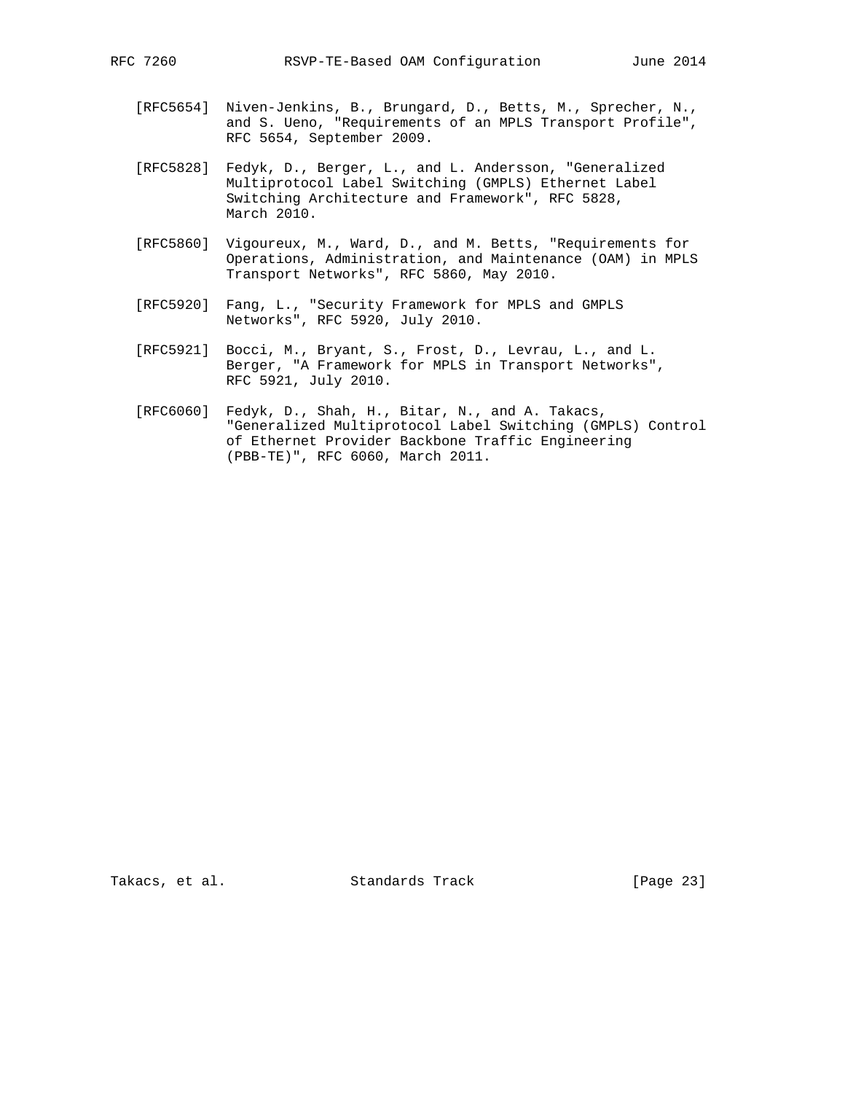- - [RFC5654] Niven-Jenkins, B., Brungard, D., Betts, M., Sprecher, N., and S. Ueno, "Requirements of an MPLS Transport Profile", RFC 5654, September 2009.
	- [RFC5828] Fedyk, D., Berger, L., and L. Andersson, "Generalized Multiprotocol Label Switching (GMPLS) Ethernet Label Switching Architecture and Framework", RFC 5828, March 2010.
	- [RFC5860] Vigoureux, M., Ward, D., and M. Betts, "Requirements for Operations, Administration, and Maintenance (OAM) in MPLS Transport Networks", RFC 5860, May 2010.
- [RFC5920] Fang, L., "Security Framework for MPLS and GMPLS Networks", RFC 5920, July 2010.
	- [RFC5921] Bocci, M., Bryant, S., Frost, D., Levrau, L., and L. Berger, "A Framework for MPLS in Transport Networks", RFC 5921, July 2010.
	- [RFC6060] Fedyk, D., Shah, H., Bitar, N., and A. Takacs, "Generalized Multiprotocol Label Switching (GMPLS) Control of Ethernet Provider Backbone Traffic Engineering (PBB-TE)", RFC 6060, March 2011.

Takacs, et al. Standards Track [Page 23]